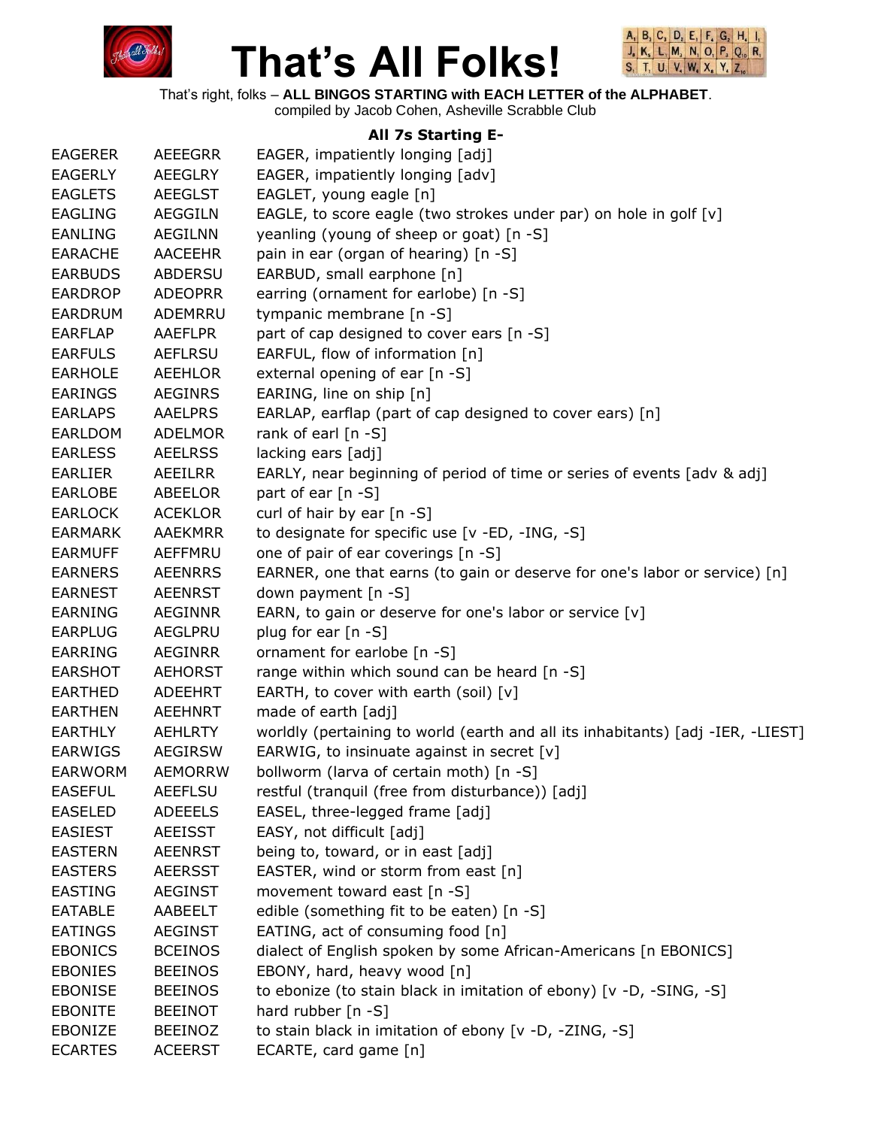



That's right, folks – **ALL BINGOS STARTING with EACH LETTER of the ALPHABET**.

compiled by Jacob Cohen, Asheville Scrabble Club

#### **All 7s Starting E-**

| <b>EAGERER</b> | <b>AEEEGRR</b> | EAGER, impatiently longing [adj]                                                |
|----------------|----------------|---------------------------------------------------------------------------------|
| <b>EAGERLY</b> | <b>AEEGLRY</b> | EAGER, impatiently longing [adv]                                                |
| <b>EAGLETS</b> | <b>AEEGLST</b> | EAGLET, young eagle [n]                                                         |
| <b>EAGLING</b> | <b>AEGGILN</b> | EAGLE, to score eagle (two strokes under par) on hole in golf [v]               |
| <b>EANLING</b> | <b>AEGILNN</b> | yeanling (young of sheep or goat) [n -S]                                        |
| <b>EARACHE</b> | <b>AACEEHR</b> | pain in ear (organ of hearing) [n -S]                                           |
| <b>EARBUDS</b> | <b>ABDERSU</b> | EARBUD, small earphone [n]                                                      |
| <b>EARDROP</b> | <b>ADEOPRR</b> | earring (ornament for earlobe) [n -S]                                           |
| <b>EARDRUM</b> | ADEMRRU        | tympanic membrane [n -S]                                                        |
| <b>EARFLAP</b> | <b>AAEFLPR</b> | part of cap designed to cover ears [n -S]                                       |
| <b>EARFULS</b> | <b>AEFLRSU</b> | EARFUL, flow of information [n]                                                 |
| <b>EARHOLE</b> | <b>AEEHLOR</b> | external opening of ear [n -S]                                                  |
| <b>EARINGS</b> | <b>AEGINRS</b> | EARING, line on ship [n]                                                        |
| <b>EARLAPS</b> | <b>AAELPRS</b> | EARLAP, earflap (part of cap designed to cover ears) [n]                        |
| EARLDOM        | <b>ADELMOR</b> | rank of earl $[n - S]$                                                          |
| <b>EARLESS</b> | <b>AEELRSS</b> | lacking ears [adj]                                                              |
| <b>EARLIER</b> | AEEILRR        | EARLY, near beginning of period of time or series of events [adv & adj]         |
| <b>EARLOBE</b> | ABEELOR        | part of ear [n -S]                                                              |
| <b>EARLOCK</b> | <b>ACEKLOR</b> | curl of hair by ear $[n - S]$                                                   |
| <b>EARMARK</b> | <b>AAEKMRR</b> | to designate for specific use [v -ED, -ING, -S]                                 |
| <b>EARMUFF</b> | <b>AEFFMRU</b> | one of pair of ear coverings [n -S]                                             |
| <b>EARNERS</b> | <b>AEENRRS</b> | EARNER, one that earns (to gain or deserve for one's labor or service) [n]      |
| <b>EARNEST</b> | <b>AEENRST</b> | down payment [n -S]                                                             |
| <b>EARNING</b> | <b>AEGINNR</b> | EARN, to gain or deserve for one's labor or service [v]                         |
| <b>EARPLUG</b> | AEGLPRU        | plug for ear [n -S]                                                             |
| <b>EARRING</b> | <b>AEGINRR</b> | ornament for earlobe [n -S]                                                     |
| <b>EARSHOT</b> | <b>AEHORST</b> | range within which sound can be heard [n -S]                                    |
| <b>EARTHED</b> | <b>ADEEHRT</b> | EARTH, to cover with earth (soil) $[v]$                                         |
| <b>EARTHEN</b> | <b>AEEHNRT</b> | made of earth [adj]                                                             |
| <b>EARTHLY</b> | <b>AEHLRTY</b> | worldly (pertaining to world (earth and all its inhabitants) [adj -IER, -LIEST] |
| <b>EARWIGS</b> | <b>AEGIRSW</b> | EARWIG, to insinuate against in secret [v]                                      |
| <b>EARWORM</b> | <b>AEMORRW</b> | bollworm (larva of certain moth) [n -S]                                         |
| <b>EASEFUL</b> | <b>AEEFLSU</b> | restful (tranquil (free from disturbance)) [adj]                                |
| <b>EASELED</b> | <b>ADEEELS</b> | EASEL, three-legged frame [adj]                                                 |
| <b>EASIEST</b> | <b>AEEISST</b> | EASY, not difficult [adj]                                                       |
| <b>EASTERN</b> | <b>AEENRST</b> | being to, toward, or in east [adj]                                              |
| <b>EASTERS</b> | <b>AEERSST</b> | EASTER, wind or storm from east [n]                                             |
| <b>EASTING</b> | <b>AEGINST</b> | movement toward east [n -S]                                                     |
| <b>EATABLE</b> | AABEELT        | edible (something fit to be eaten) [n -S]                                       |
| <b>EATINGS</b> | <b>AEGINST</b> | EATING, act of consuming food [n]                                               |
| <b>EBONICS</b> | <b>BCEINOS</b> | dialect of English spoken by some African-Americans [n EBONICS]                 |
| <b>EBONIES</b> | <b>BEEINOS</b> | EBONY, hard, heavy wood [n]                                                     |
| <b>EBONISE</b> | <b>BEEINOS</b> | to ebonize (to stain black in imitation of ebony) [v -D, -SING, -S]             |
| <b>EBONITE</b> | <b>BEEINOT</b> | hard rubber $[n - S]$                                                           |
| EBONIZE        | <b>BEEINOZ</b> | to stain black in imitation of ebony [v -D, -ZING, -S]                          |
| <b>ECARTES</b> | <b>ACEERST</b> | ECARTE, card game [n]                                                           |
|                |                |                                                                                 |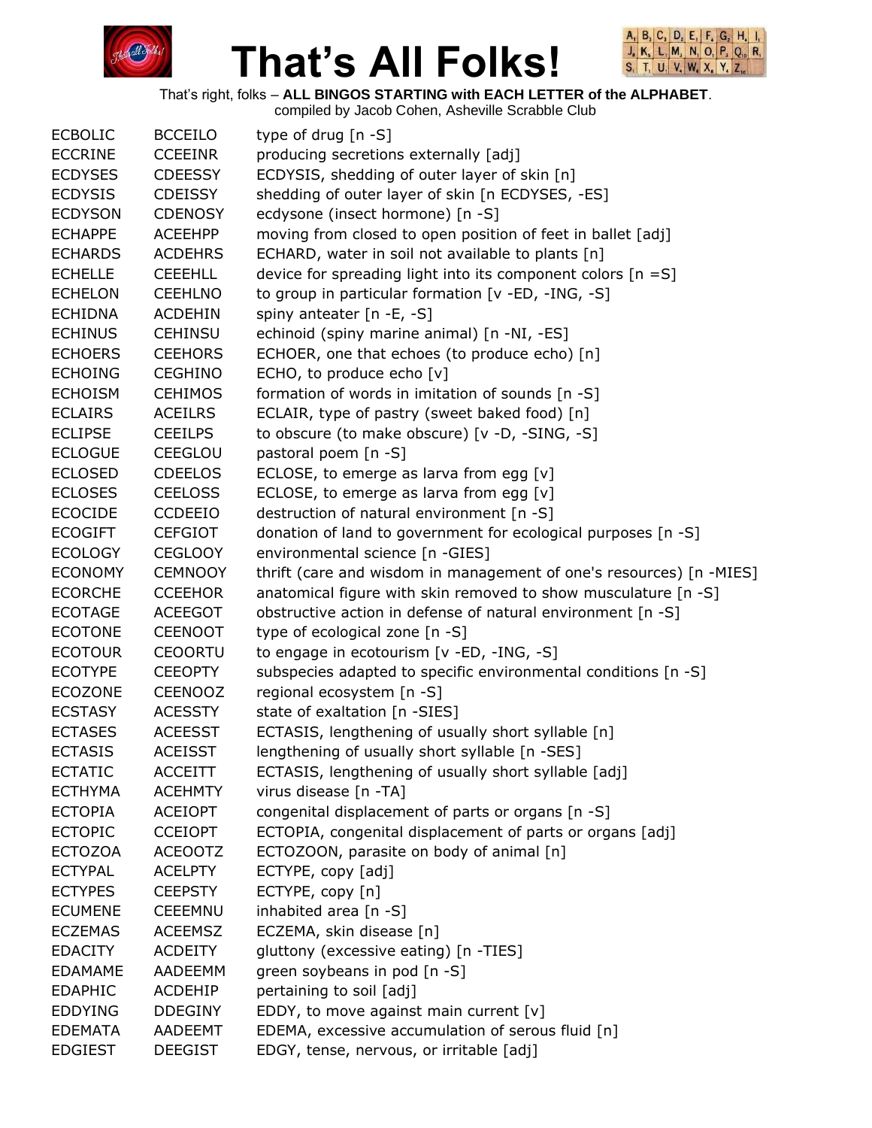



That's right, folks – **ALL BINGOS STARTING with EACH LETTER of the ALPHABET**.

| <b>ECBOLIC</b> | <b>BCCEILO</b> | type of drug $[n - S]$                                              |
|----------------|----------------|---------------------------------------------------------------------|
| <b>ECCRINE</b> | <b>CCEEINR</b> | producing secretions externally [adj]                               |
| <b>ECDYSES</b> | <b>CDEESSY</b> | ECDYSIS, shedding of outer layer of skin [n]                        |
| <b>ECDYSIS</b> | <b>CDEISSY</b> | shedding of outer layer of skin [n ECDYSES, -ES]                    |
| <b>ECDYSON</b> | <b>CDENOSY</b> | ecdysone (insect hormone) [n -S]                                    |
| <b>ECHAPPE</b> | <b>ACEEHPP</b> | moving from closed to open position of feet in ballet [adj]         |
| <b>ECHARDS</b> | <b>ACDEHRS</b> | ECHARD, water in soil not available to plants [n]                   |
| <b>ECHELLE</b> | <b>CEEEHLL</b> | device for spreading light into its component colors $[n = S]$      |
| <b>ECHELON</b> | <b>CEEHLNO</b> | to group in particular formation [v -ED, -ING, -S]                  |
| <b>ECHIDNA</b> | <b>ACDEHIN</b> | spiny anteater [n -E, -S]                                           |
| <b>ECHINUS</b> | <b>CEHINSU</b> | echinoid (spiny marine animal) [n -NI, -ES]                         |
| <b>ECHOERS</b> | <b>CEEHORS</b> | ECHOER, one that echoes (to produce echo) [n]                       |
| <b>ECHOING</b> | <b>CEGHINO</b> | ECHO, to produce echo [v]                                           |
| <b>ECHOISM</b> | <b>CEHIMOS</b> | formation of words in imitation of sounds [n -S]                    |
| <b>ECLAIRS</b> | <b>ACEILRS</b> | ECLAIR, type of pastry (sweet baked food) [n]                       |
| <b>ECLIPSE</b> | <b>CEEILPS</b> | to obscure (to make obscure) [v -D, -SING, -S]                      |
| <b>ECLOGUE</b> | <b>CEEGLOU</b> | pastoral poem [n -S]                                                |
| <b>ECLOSED</b> | <b>CDEELOS</b> | ECLOSE, to emerge as larva from egg $[v]$                           |
| <b>ECLOSES</b> | <b>CEELOSS</b> | ECLOSE, to emerge as larva from egg [v]                             |
| <b>ECOCIDE</b> | <b>CCDEEIO</b> | destruction of natural environment [n -S]                           |
| <b>ECOGIFT</b> | <b>CEFGIOT</b> | donation of land to government for ecological purposes [n -S]       |
| <b>ECOLOGY</b> | <b>CEGLOOY</b> | environmental science [n -GIES]                                     |
| <b>ECONOMY</b> | <b>CEMNOOY</b> | thrift (care and wisdom in management of one's resources) [n -MIES] |
| <b>ECORCHE</b> | <b>CCEEHOR</b> | anatomical figure with skin removed to show musculature [n -S]      |
| <b>ECOTAGE</b> | <b>ACEEGOT</b> | obstructive action in defense of natural environment [n -S]         |
| <b>ECOTONE</b> | <b>CEENOOT</b> | type of ecological zone [n -S]                                      |
| <b>ECOTOUR</b> | <b>CEOORTU</b> | to engage in ecotourism [v -ED, -ING, -S]                           |
| <b>ECOTYPE</b> | <b>CEEOPTY</b> | subspecies adapted to specific environmental conditions [n -S]      |
| <b>ECOZONE</b> | <b>CEENOOZ</b> | regional ecosystem [n -S]                                           |
| <b>ECSTASY</b> | <b>ACESSTY</b> | state of exaltation [n -SIES]                                       |
| <b>ECTASES</b> | <b>ACEESST</b> | ECTASIS, lengthening of usually short syllable [n]                  |
| <b>ECTASIS</b> | <b>ACEISST</b> | lengthening of usually short syllable [n -SES]                      |
| <b>ECTATIC</b> | <b>ACCEITT</b> | ECTASIS, lengthening of usually short syllable [adj]                |
| <b>ECTHYMA</b> | <b>ACEHMTY</b> | virus disease [n -TA]                                               |
| <b>ECTOPIA</b> | <b>ACEIOPT</b> | congenital displacement of parts or organs [n -S]                   |
| <b>ECTOPIC</b> | <b>CCEIOPT</b> | ECTOPIA, congenital displacement of parts or organs [adj]           |
| <b>ECTOZOA</b> | <b>ACEOOTZ</b> | ECTOZOON, parasite on body of animal [n]                            |
| <b>ECTYPAL</b> | <b>ACELPTY</b> | ECTYPE, copy [adj]                                                  |
| <b>ECTYPES</b> | <b>CEEPSTY</b> | ECTYPE, copy [n]                                                    |
| <b>ECUMENE</b> | <b>CEEEMNU</b> | inhabited area [n -S]                                               |
| <b>ECZEMAS</b> | <b>ACEEMSZ</b> | ECZEMA, skin disease [n]                                            |
| <b>EDACITY</b> | <b>ACDEITY</b> | gluttony (excessive eating) [n -TIES]                               |
| <b>EDAMAME</b> | <b>AADEEMM</b> | green soybeans in pod [n -S]                                        |
| <b>EDAPHIC</b> | ACDEHIP        | pertaining to soil [adj]                                            |
| <b>EDDYING</b> | <b>DDEGINY</b> | EDDY, to move against main current [v]                              |
| <b>EDEMATA</b> | AADEEMT        | EDEMA, excessive accumulation of serous fluid [n]                   |
| <b>EDGIEST</b> | <b>DEEGIST</b> | EDGY, tense, nervous, or irritable [adj]                            |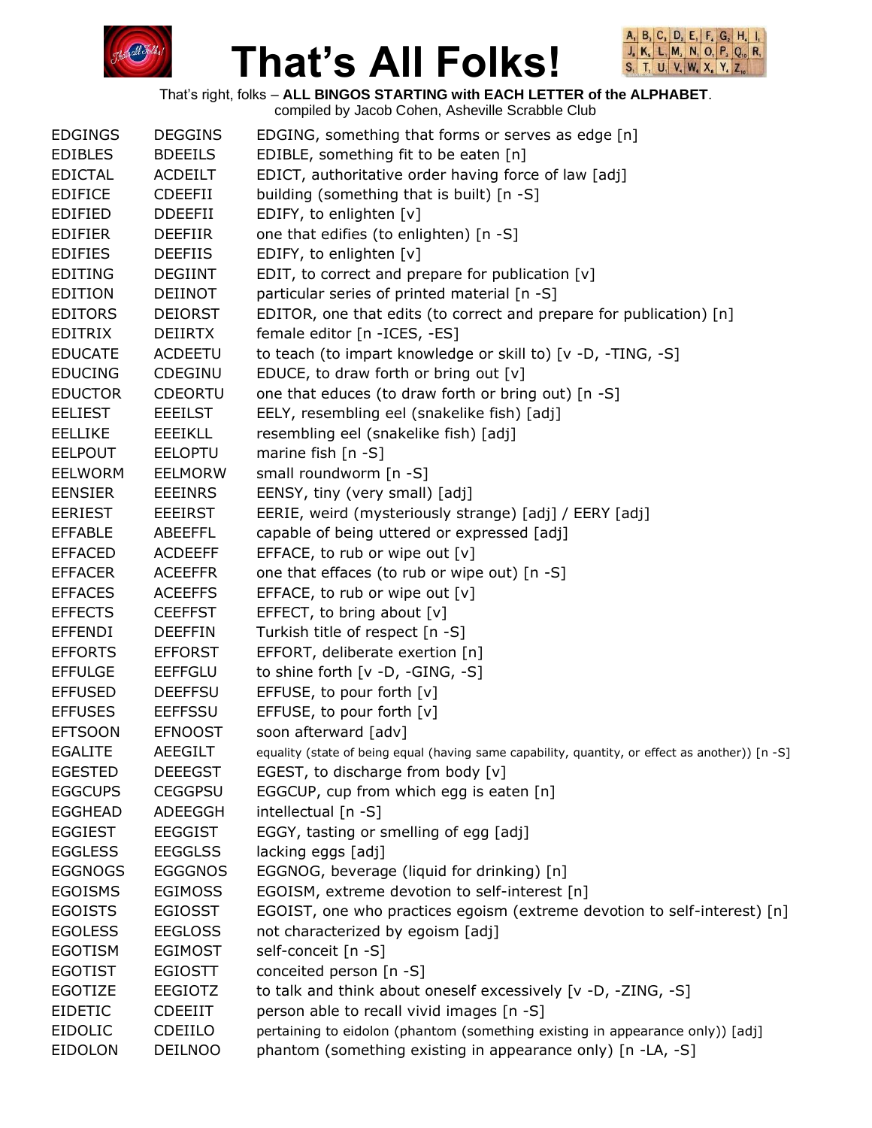



That's right, folks – **ALL BINGOS STARTING with EACH LETTER of the ALPHABET**.

| <b>EDGINGS</b> | <b>DEGGINS</b> | EDGING, something that forms or serves as edge [n]                                              |
|----------------|----------------|-------------------------------------------------------------------------------------------------|
| <b>EDIBLES</b> | <b>BDEEILS</b> | EDIBLE, something fit to be eaten [n]                                                           |
| <b>EDICTAL</b> | <b>ACDEILT</b> | EDICT, authoritative order having force of law [adj]                                            |
| <b>EDIFICE</b> | <b>CDEEFII</b> | building (something that is built) [n -S]                                                       |
| <b>EDIFIED</b> | <b>DDEEFII</b> | EDIFY, to enlighten [v]                                                                         |
| <b>EDIFIER</b> | <b>DEEFIIR</b> | one that edifies (to enlighten) [n -S]                                                          |
| <b>EDIFIES</b> | <b>DEEFIIS</b> | EDIFY, to enlighten [v]                                                                         |
| <b>EDITING</b> | <b>DEGIINT</b> | EDIT, to correct and prepare for publication [v]                                                |
| <b>EDITION</b> | <b>DEIINOT</b> | particular series of printed material [n -S]                                                    |
| <b>EDITORS</b> | <b>DEIORST</b> | EDITOR, one that edits (to correct and prepare for publication) [n]                             |
| <b>EDITRIX</b> | <b>DEIIRTX</b> | female editor [n - ICES, -ES]                                                                   |
| <b>EDUCATE</b> | <b>ACDEETU</b> | to teach (to impart knowledge or skill to) [v -D, -TING, -S]                                    |
| <b>EDUCING</b> | CDEGINU        | EDUCE, to draw forth or bring out [v]                                                           |
| <b>EDUCTOR</b> | <b>CDEORTU</b> | one that educes (to draw forth or bring out) [n -S]                                             |
| <b>EELIEST</b> | <b>EEEILST</b> | EELY, resembling eel (snakelike fish) [adj]                                                     |
| <b>EELLIKE</b> | <b>EEEIKLL</b> | resembling eel (snakelike fish) [adj]                                                           |
| <b>EELPOUT</b> | <b>EELOPTU</b> | marine fish [n -S]                                                                              |
| <b>EELWORM</b> | <b>EELMORW</b> | small roundworm [n -S]                                                                          |
| <b>EENSIER</b> | <b>EEEINRS</b> | EENSY, tiny (very small) [adj]                                                                  |
| <b>EERIEST</b> | <b>EEEIRST</b> | EERIE, weird (mysteriously strange) [adj] / EERY [adj]                                          |
| <b>EFFABLE</b> | <b>ABEEFFL</b> | capable of being uttered or expressed [adj]                                                     |
| <b>EFFACED</b> | <b>ACDEEFF</b> | EFFACE, to rub or wipe out [v]                                                                  |
| <b>EFFACER</b> | <b>ACEEFFR</b> | one that effaces (to rub or wipe out) [n -S]                                                    |
| <b>EFFACES</b> | <b>ACEEFFS</b> | EFFACE, to rub or wipe out [v]                                                                  |
| <b>EFFECTS</b> | <b>CEEFFST</b> | EFFECT, to bring about [v]                                                                      |
| <b>EFFENDI</b> | <b>DEEFFIN</b> | Turkish title of respect [n -S]                                                                 |
| <b>EFFORTS</b> | <b>EFFORST</b> | EFFORT, deliberate exertion [n]                                                                 |
| <b>EFFULGE</b> | <b>EEFFGLU</b> | to shine forth [v -D, -GING, -S]                                                                |
| <b>EFFUSED</b> | <b>DEEFFSU</b> | EFFUSE, to pour forth [v]                                                                       |
| <b>EFFUSES</b> | <b>EEFFSSU</b> | EFFUSE, to pour forth [v]                                                                       |
| <b>EFTSOON</b> | <b>EFNOOST</b> | soon afterward [adv]                                                                            |
| <b>EGALITE</b> | <b>AEEGILT</b> | equality (state of being equal (having same capability, quantity, or effect as another)) [n -S] |
| <b>EGESTED</b> | <b>DEEEGST</b> | EGEST, to discharge from body [v]                                                               |
| <b>EGGCUPS</b> | <b>CEGGPSU</b> | EGGCUP, cup from which egg is eaten [n]                                                         |
| <b>EGGHEAD</b> | ADEEGGH        | intellectual [n -S]                                                                             |
| <b>EGGIEST</b> | <b>EEGGIST</b> | EGGY, tasting or smelling of egg [adj]                                                          |
| <b>EGGLESS</b> | <b>EEGGLSS</b> | lacking eggs [adj]                                                                              |
| <b>EGGNOGS</b> | <b>EGGGNOS</b> | EGGNOG, beverage (liquid for drinking) [n]                                                      |
| <b>EGOISMS</b> | <b>EGIMOSS</b> | EGOISM, extreme devotion to self-interest [n]                                                   |
| <b>EGOISTS</b> | <b>EGIOSST</b> | EGOIST, one who practices egoism (extreme devotion to self-interest) [n]                        |
| <b>EGOLESS</b> | <b>EEGLOSS</b> | not characterized by egoism [adj]                                                               |
| <b>EGOTISM</b> | <b>EGIMOST</b> | self-conceit [n -S]                                                                             |
| <b>EGOTIST</b> | <b>EGIOSTT</b> | conceited person [n -S]                                                                         |
| <b>EGOTIZE</b> | <b>EEGIOTZ</b> | to talk and think about oneself excessively [v -D, -ZING, -S]                                   |
| <b>EIDETIC</b> |                | person able to recall vivid images [n -S]                                                       |
|                | <b>CDEEIIT</b> |                                                                                                 |
| <b>EIDOLIC</b> | CDEIILO        | pertaining to eidolon (phantom (something existing in appearance only)) [adj]                   |
| <b>EIDOLON</b> | <b>DEILNOO</b> | phantom (something existing in appearance only) [n -LA, -S]                                     |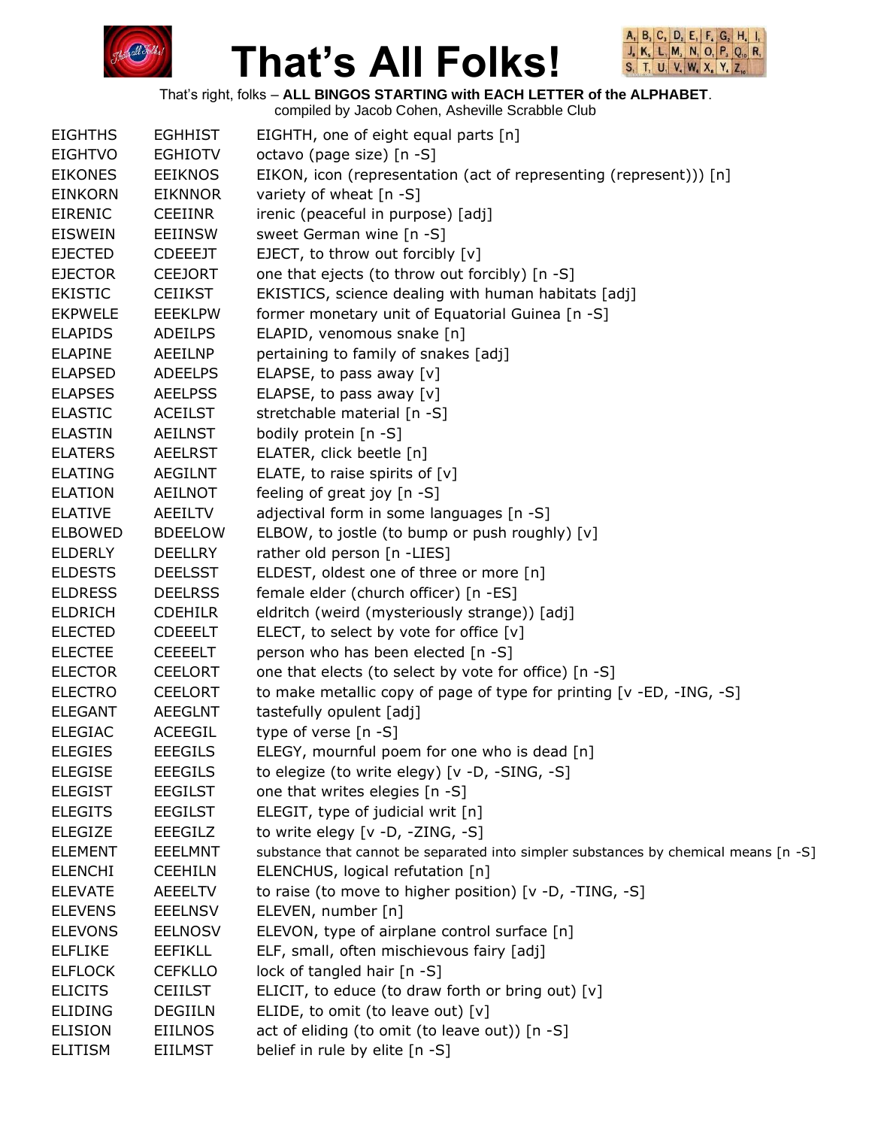



|                |                | compiled by Jacob Cohen, Asheville Scrabble Club                                    |
|----------------|----------------|-------------------------------------------------------------------------------------|
| <b>EIGHTHS</b> | <b>EGHHIST</b> | EIGHTH, one of eight equal parts [n]                                                |
| <b>EIGHTVO</b> | <b>EGHIOTV</b> | octavo (page size) [n -S]                                                           |
| <b>EIKONES</b> | <b>EEIKNOS</b> | EIKON, icon (representation (act of representing (represent))) [n]                  |
| <b>EINKORN</b> | <b>EIKNNOR</b> | variety of wheat $[n - S]$                                                          |
| <b>EIRENIC</b> | <b>CEEIINR</b> | irenic (peaceful in purpose) [adj]                                                  |
| <b>EISWEIN</b> | <b>EEIINSW</b> | sweet German wine [n -S]                                                            |
| <b>EJECTED</b> | <b>CDEEEJT</b> | EJECT, to throw out forcibly [v]                                                    |
| <b>EJECTOR</b> | <b>CEEJORT</b> | one that ejects (to throw out forcibly) [n -S]                                      |
| <b>EKISTIC</b> | <b>CEIIKST</b> | EKISTICS, science dealing with human habitats [adj]                                 |
| <b>EKPWELE</b> | <b>EEEKLPW</b> | former monetary unit of Equatorial Guinea [n -S]                                    |
| <b>ELAPIDS</b> | <b>ADEILPS</b> | ELAPID, venomous snake [n]                                                          |
| <b>ELAPINE</b> | AEEILNP        | pertaining to family of snakes [adj]                                                |
| <b>ELAPSED</b> | <b>ADEELPS</b> | ELAPSE, to pass away [v]                                                            |
| <b>ELAPSES</b> | <b>AEELPSS</b> | ELAPSE, to pass away [v]                                                            |
| <b>ELASTIC</b> | <b>ACEILST</b> | stretchable material [n -S]                                                         |
| <b>ELASTIN</b> | <b>AEILNST</b> | bodily protein [n -S]                                                               |
| <b>ELATERS</b> | AEELRST        | ELATER, click beetle [n]                                                            |
| <b>ELATING</b> | <b>AEGILNT</b> | ELATE, to raise spirits of [v]                                                      |
| <b>ELATION</b> | <b>AEILNOT</b> | feeling of great joy [n -S]                                                         |
| <b>ELATIVE</b> | AEEILTV        | adjectival form in some languages [n -S]                                            |
| <b>ELBOWED</b> | <b>BDEELOW</b> | ELBOW, to jostle (to bump or push roughly) [v]                                      |
| <b>ELDERLY</b> | <b>DEELLRY</b> | rather old person [n -LIES]                                                         |
| <b>ELDESTS</b> | <b>DEELSST</b> | ELDEST, oldest one of three or more [n]                                             |
| <b>ELDRESS</b> | <b>DEELRSS</b> | female elder (church officer) [n -ES]                                               |
| <b>ELDRICH</b> | <b>CDEHILR</b> | eldritch (weird (mysteriously strange)) [adj]                                       |
| <b>ELECTED</b> | <b>CDEEELT</b> | ELECT, to select by vote for office $[v]$                                           |
| <b>ELECTEE</b> | <b>CEEEELT</b> | person who has been elected [n -S]                                                  |
| <b>ELECTOR</b> | <b>CEELORT</b> | one that elects (to select by vote for office) [n -S]                               |
| <b>ELECTRO</b> | <b>CEELORT</b> | to make metallic copy of page of type for printing [v -ED, -ING, -S]                |
| <b>ELEGANT</b> | <b>AEEGLNT</b> | tastefully opulent [adj]                                                            |
| <b>ELEGIAC</b> | <b>ACEEGIL</b> | type of verse [n -S]                                                                |
| <b>ELEGIES</b> | <b>EEEGILS</b> | ELEGY, mournful poem for one who is dead [n]                                        |
| <b>ELEGISE</b> | <b>EEEGILS</b> | to elegize (to write elegy) [v -D, -SING, -S]                                       |
| <b>ELEGIST</b> | <b>EEGILST</b> | one that writes elegies [n -S]                                                      |
| <b>ELEGITS</b> | <b>EEGILST</b> | ELEGIT, type of judicial writ [n]                                                   |
| <b>ELEGIZE</b> | <b>EEEGILZ</b> | to write elegy [v -D, -ZING, -S]                                                    |
| <b>ELEMENT</b> | <b>EEELMNT</b> | substance that cannot be separated into simpler substances by chemical means [n -S] |
| <b>ELENCHI</b> | <b>CEEHILN</b> | ELENCHUS, logical refutation [n]                                                    |
| <b>ELEVATE</b> | <b>AEEELTV</b> | to raise (to move to higher position) [v -D, -TING, -S]                             |
| <b>ELEVENS</b> | <b>EEELNSV</b> | ELEVEN, number [n]                                                                  |
| <b>ELEVONS</b> | <b>EELNOSV</b> | ELEVON, type of airplane control surface [n]                                        |
| <b>ELFLIKE</b> | <b>EEFIKLL</b> | ELF, small, often mischievous fairy [adj]                                           |
| <b>ELFLOCK</b> | <b>CEFKLLO</b> | lock of tangled hair [n -S]                                                         |
| <b>ELICITS</b> | <b>CEIILST</b> | ELICIT, to educe (to draw forth or bring out) [v]                                   |
| <b>ELIDING</b> | <b>DEGIILN</b> | ELIDE, to omit (to leave out) $[v]$                                                 |
| <b>ELISION</b> | <b>EIILNOS</b> | act of eliding (to omit (to leave out)) [n -S]                                      |
| <b>ELITISM</b> | EIILMST        | belief in rule by elite [n -S]                                                      |
|                |                |                                                                                     |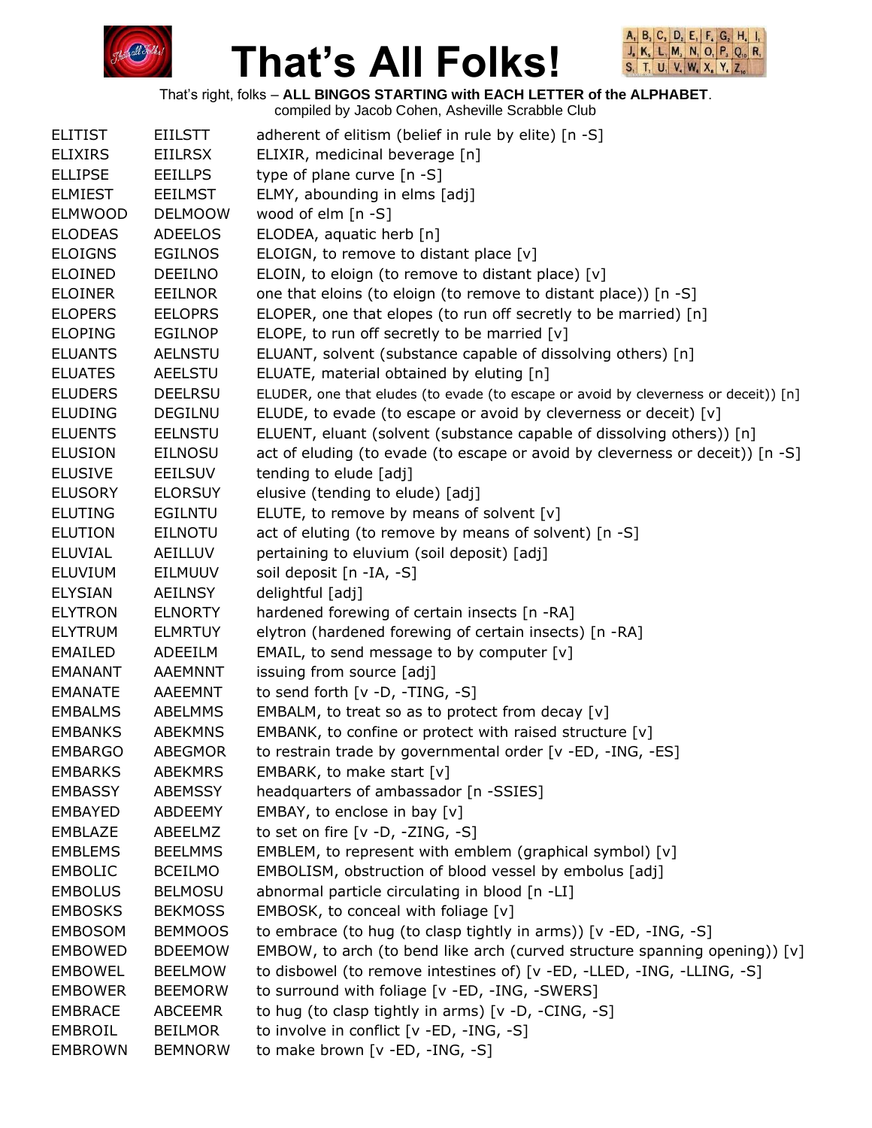



That's right, folks – **ALL BINGOS STARTING with EACH LETTER of the ALPHABET**.

| <b>ELITIST</b> | <b>EIILSTT</b> | adherent of elitism (belief in rule by elite) [n -S]                                |
|----------------|----------------|-------------------------------------------------------------------------------------|
| <b>ELIXIRS</b> | <b>EIILRSX</b> | ELIXIR, medicinal beverage [n]                                                      |
| <b>ELLIPSE</b> | <b>EEILLPS</b> | type of plane curve [n -S]                                                          |
| <b>ELMIEST</b> | <b>EEILMST</b> | ELMY, abounding in elms [adj]                                                       |
| <b>ELMWOOD</b> | <b>DELMOOW</b> | wood of elm [n -S]                                                                  |
| <b>ELODEAS</b> | <b>ADEELOS</b> | ELODEA, aquatic herb [n]                                                            |
| <b>ELOIGNS</b> | <b>EGILNOS</b> | ELOIGN, to remove to distant place [v]                                              |
| <b>ELOINED</b> | <b>DEEILNO</b> | ELOIN, to eloign (to remove to distant place) [v]                                   |
| <b>ELOINER</b> | EEILNOR        | one that eloins (to eloign (to remove to distant place)) [n -S]                     |
| <b>ELOPERS</b> | <b>EELOPRS</b> | ELOPER, one that elopes (to run off secretly to be married) [n]                     |
| <b>ELOPING</b> | <b>EGILNOP</b> | ELOPE, to run off secretly to be married [v]                                        |
| <b>ELUANTS</b> | <b>AELNSTU</b> | ELUANT, solvent (substance capable of dissolving others) [n]                        |
| <b>ELUATES</b> | <b>AEELSTU</b> | ELUATE, material obtained by eluting [n]                                            |
| <b>ELUDERS</b> | <b>DEELRSU</b> | ELUDER, one that eludes (to evade (to escape or avoid by cleverness or deceit)) [n] |
| <b>ELUDING</b> | <b>DEGILNU</b> | ELUDE, to evade (to escape or avoid by cleverness or deceit) [v]                    |
| <b>ELUENTS</b> | <b>EELNSTU</b> | ELUENT, eluant (solvent (substance capable of dissolving others)) [n]               |
| <b>ELUSION</b> | <b>EILNOSU</b> | act of eluding (to evade (to escape or avoid by cleverness or deceit)) [n -S]       |
| <b>ELUSIVE</b> | <b>EEILSUV</b> | tending to elude [adj]                                                              |
| <b>ELUSORY</b> | <b>ELORSUY</b> | elusive (tending to elude) [adj]                                                    |
| <b>ELUTING</b> | EGILNTU        | ELUTE, to remove by means of solvent [v]                                            |
| <b>ELUTION</b> | <b>EILNOTU</b> | act of eluting (to remove by means of solvent) [n -S]                               |
| <b>ELUVIAL</b> | AEILLUV        | pertaining to eluvium (soil deposit) [adj]                                          |
| <b>ELUVIUM</b> | EILMUUV        | soil deposit [n -IA, -S]                                                            |
| <b>ELYSIAN</b> | <b>AEILNSY</b> | delightful [adj]                                                                    |
| <b>ELYTRON</b> | <b>ELNORTY</b> | hardened forewing of certain insects [n -RA]                                        |
| <b>ELYTRUM</b> | <b>ELMRTUY</b> | elytron (hardened forewing of certain insects) [n -RA]                              |
| <b>EMAILED</b> | ADEEILM        | EMAIL, to send message to by computer [v]                                           |
| EMANANT        | <b>AAEMNNT</b> | issuing from source [adj]                                                           |
| <b>EMANATE</b> | AAEEMNT        | to send forth $[v -D, -TING, -S]$                                                   |
| <b>EMBALMS</b> | <b>ABELMMS</b> | EMBALM, to treat so as to protect from decay $[v]$                                  |
| <b>EMBANKS</b> | <b>ABEKMNS</b> | EMBANK, to confine or protect with raised structure [v]                             |
| <b>EMBARGO</b> | <b>ABEGMOR</b> | to restrain trade by governmental order [v -ED, -ING, -ES]                          |
| <b>EMBARKS</b> | <b>ABEKMRS</b> | EMBARK, to make start [v]                                                           |
| <b>EMBASSY</b> | <b>ABEMSSY</b> | headquarters of ambassador [n -SSIES]                                               |
| <b>EMBAYED</b> | ABDEEMY        | EMBAY, to enclose in bay [v]                                                        |
| EMBLAZE        | ABEELMZ        | to set on fire [v -D, -ZING, -S]                                                    |
| <b>EMBLEMS</b> | <b>BEELMMS</b> | EMBLEM, to represent with emblem (graphical symbol) $[v]$                           |
| <b>EMBOLIC</b> | <b>BCEILMO</b> | EMBOLISM, obstruction of blood vessel by embolus [adj]                              |
| <b>EMBOLUS</b> | <b>BELMOSU</b> | abnormal particle circulating in blood [n -LI]                                      |
| <b>EMBOSKS</b> | <b>BEKMOSS</b> | EMBOSK, to conceal with foliage [v]                                                 |
| <b>EMBOSOM</b> | <b>BEMMOOS</b> | to embrace (to hug (to clasp tightly in arms)) [v -ED, -ING, -S]                    |
| <b>EMBOWED</b> | <b>BDEEMOW</b> | EMBOW, to arch (to bend like arch (curved structure spanning opening)) [v]          |
| <b>EMBOWEL</b> | <b>BEELMOW</b> | to disbowel (to remove intestines of) [v -ED, -LLED, -ING, -LLING, -S]              |
| <b>EMBOWER</b> | <b>BEEMORW</b> | to surround with foliage [v -ED, -ING, -SWERS]                                      |
| <b>EMBRACE</b> | <b>ABCEEMR</b> | to hug (to clasp tightly in arms) [v -D, -CING, -S]                                 |
| EMBROIL        | <b>BEILMOR</b> | to involve in conflict [v -ED, -ING, -S]                                            |
| <b>EMBROWN</b> | <b>BEMNORW</b> | to make brown [v -ED, -ING, -S]                                                     |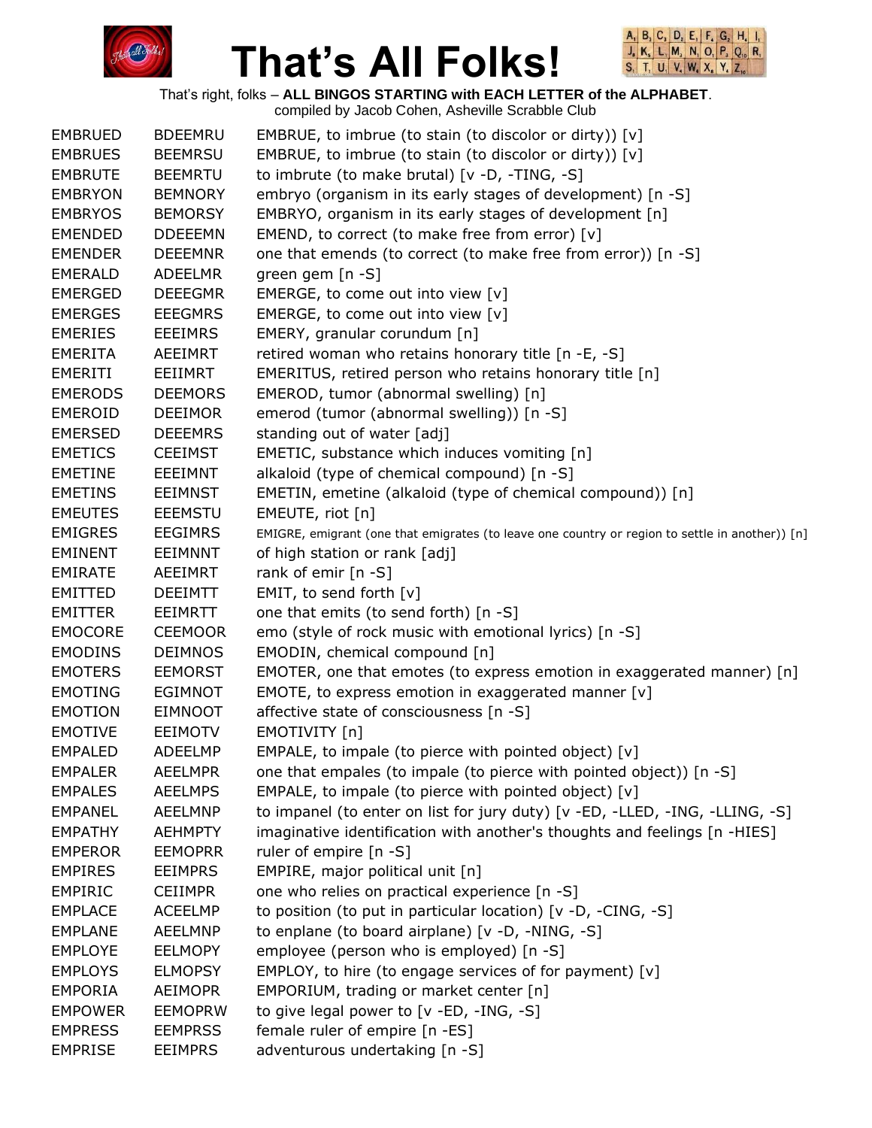



|                |                | compiled by Jacob Cohen, Asheville Scrabble Club                                                |
|----------------|----------------|-------------------------------------------------------------------------------------------------|
| <b>EMBRUED</b> | <b>BDEEMRU</b> | EMBRUE, to imbrue (to stain (to discolor or dirty)) [v]                                         |
| <b>EMBRUES</b> | <b>BEEMRSU</b> | EMBRUE, to imbrue (to stain (to discolor or dirty)) [v]                                         |
| <b>EMBRUTE</b> | <b>BEEMRTU</b> | to imbrute (to make brutal) $[v -D, -TING, -S]$                                                 |
| <b>EMBRYON</b> | <b>BEMNORY</b> | embryo (organism in its early stages of development) [n -S]                                     |
| <b>EMBRYOS</b> | <b>BEMORSY</b> | EMBRYO, organism in its early stages of development [n]                                         |
| <b>EMENDED</b> | <b>DDEEEMN</b> | EMEND, to correct (to make free from error) [v]                                                 |
| <b>EMENDER</b> | <b>DEEEMNR</b> | one that emends (to correct (to make free from error)) [n -S]                                   |
| <b>EMERALD</b> | ADEELMR        | green gem [n -S]                                                                                |
| <b>EMERGED</b> | <b>DEEEGMR</b> | EMERGE, to come out into view [v]                                                               |
| <b>EMERGES</b> | <b>EEEGMRS</b> | EMERGE, to come out into view [v]                                                               |
| <b>EMERIES</b> | <b>EEEIMRS</b> | EMERY, granular corundum [n]                                                                    |
|                |                |                                                                                                 |
| <b>EMERITA</b> | AEEIMRT        | retired woman who retains honorary title [n -E, -S]                                             |
| EMERITI        | EEIIMRT        | EMERITUS, retired person who retains honorary title [n]                                         |
| <b>EMERODS</b> | <b>DEEMORS</b> | EMEROD, tumor (abnormal swelling) [n]                                                           |
| <b>EMEROID</b> | <b>DEEIMOR</b> | emerod (tumor (abnormal swelling)) [n -S]                                                       |
| <b>EMERSED</b> | <b>DEEEMRS</b> | standing out of water [adj]                                                                     |
| <b>EMETICS</b> | <b>CEEIMST</b> | EMETIC, substance which induces vomiting [n]                                                    |
| <b>EMETINE</b> | EEEIMNT        | alkaloid (type of chemical compound) [n -S]                                                     |
| <b>EMETINS</b> | <b>EEIMNST</b> | EMETIN, emetine (alkaloid (type of chemical compound)) [n]                                      |
| <b>EMEUTES</b> | <b>EEEMSTU</b> | EMEUTE, riot [n]                                                                                |
| <b>EMIGRES</b> | <b>EEGIMRS</b> | EMIGRE, emigrant (one that emigrates (to leave one country or region to settle in another)) [n] |
| <b>EMINENT</b> | <b>EEIMNNT</b> | of high station or rank [adj]                                                                   |
| <b>EMIRATE</b> | AEEIMRT        | rank of emir [n -S]                                                                             |
| <b>EMITTED</b> | <b>DEEIMTT</b> | EMIT, to send forth [v]                                                                         |
| <b>EMITTER</b> | EEIMRTT        | one that emits (to send forth) [n -S]                                                           |
| <b>EMOCORE</b> | <b>CEEMOOR</b> | emo (style of rock music with emotional lyrics) [n -S]                                          |
| <b>EMODINS</b> | <b>DEIMNOS</b> | EMODIN, chemical compound [n]                                                                   |
| <b>EMOTERS</b> | <b>EEMORST</b> | EMOTER, one that emotes (to express emotion in exaggerated manner) $[n]$                        |
| <b>EMOTING</b> | <b>EGIMNOT</b> | EMOTE, to express emotion in exaggerated manner [v]                                             |
| <b>EMOTION</b> | <b>EIMNOOT</b> | affective state of consciousness [n -S]                                                         |
| <b>EMOTIVE</b> | <b>EEIMOTV</b> | EMOTIVITY [n]                                                                                   |
| <b>EMPALED</b> | <b>ADEELMP</b> | EMPALE, to impale (to pierce with pointed object) [v]                                           |
| <b>EMPALER</b> | <b>AEELMPR</b> | one that empales (to impale (to pierce with pointed object)) [n -S]                             |
| <b>EMPALES</b> | <b>AEELMPS</b> | EMPALE, to impale (to pierce with pointed object) [v]                                           |
| <b>EMPANEL</b> | <b>AEELMNP</b> | to impanel (to enter on list for jury duty) [v -ED, -LLED, -ING, -LLING, -S]                    |
| <b>EMPATHY</b> | <b>AEHMPTY</b> | imaginative identification with another's thoughts and feelings [n -HIES]                       |
| <b>EMPEROR</b> | <b>EEMOPRR</b> | ruler of empire [n -S]                                                                          |
| <b>EMPIRES</b> | <b>EEIMPRS</b> | EMPIRE, major political unit [n]                                                                |
| <b>EMPIRIC</b> | <b>CEIIMPR</b> | one who relies on practical experience [n -S]                                                   |
| <b>EMPLACE</b> | <b>ACEELMP</b> | to position (to put in particular location) [v -D, -CING, -S]                                   |
| <b>EMPLANE</b> | <b>AEELMNP</b> | to enplane (to board airplane) [v -D, -NING, -S]                                                |
| <b>EMPLOYE</b> | <b>EELMOPY</b> | employee (person who is employed) [n -S]                                                        |
| <b>EMPLOYS</b> | <b>ELMOPSY</b> | EMPLOY, to hire (to engage services of for payment) [v]                                         |
| <b>EMPORIA</b> |                |                                                                                                 |
|                | <b>AEIMOPR</b> | EMPORIUM, trading or market center [n]                                                          |
| <b>EMPOWER</b> | <b>EEMOPRW</b> | to give legal power to [v -ED, -ING, -S]                                                        |
| <b>EMPRESS</b> | <b>EEMPRSS</b> | female ruler of empire [n -ES]                                                                  |
| <b>EMPRISE</b> | <b>EEIMPRS</b> | adventurous undertaking [n -S]                                                                  |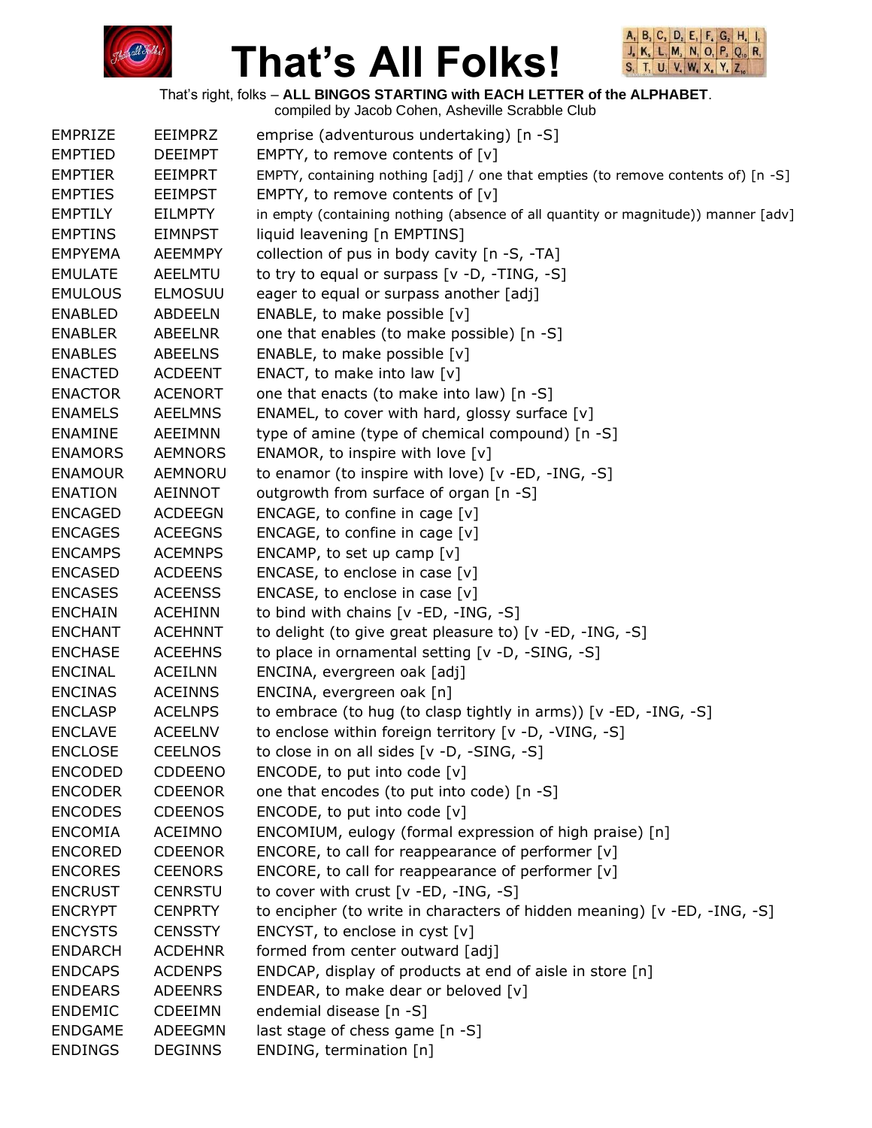



That's right, folks – **ALL BINGOS STARTING with EACH LETTER of the ALPHABET**.

| <b>EMPRIZE</b> | <b>EEIMPRZ</b> | emprise (adventurous undertaking) [n -S]                                          |
|----------------|----------------|-----------------------------------------------------------------------------------|
| <b>EMPTIED</b> | <b>DEEIMPT</b> | EMPTY, to remove contents of $[v]$                                                |
| <b>EMPTIER</b> | <b>EEIMPRT</b> | EMPTY, containing nothing [adj] / one that empties (to remove contents of) [n -S] |
| <b>EMPTIES</b> | <b>EEIMPST</b> | EMPTY, to remove contents of $[v]$                                                |
| <b>EMPTILY</b> | <b>EILMPTY</b> | in empty (containing nothing (absence of all quantity or magnitude)) manner [adv] |
| <b>EMPTINS</b> | <b>EIMNPST</b> | liquid leavening [n EMPTINS]                                                      |
| <b>EMPYEMA</b> | <b>AEEMMPY</b> | collection of pus in body cavity [n -S, -TA]                                      |
| <b>EMULATE</b> | <b>AEELMTU</b> | to try to equal or surpass [v -D, -TING, -S]                                      |
| <b>EMULOUS</b> | <b>ELMOSUU</b> | eager to equal or surpass another [adj]                                           |
| <b>ENABLED</b> | <b>ABDEELN</b> | ENABLE, to make possible [v]                                                      |
| <b>ENABLER</b> | <b>ABEELNR</b> | one that enables (to make possible) [n -S]                                        |
| <b>ENABLES</b> | <b>ABEELNS</b> | ENABLE, to make possible [v]                                                      |
| <b>ENACTED</b> | <b>ACDEENT</b> | ENACT, to make into law [v]                                                       |
| <b>ENACTOR</b> | <b>ACENORT</b> | one that enacts (to make into law) [n -S]                                         |
| <b>ENAMELS</b> | <b>AEELMNS</b> | ENAMEL, to cover with hard, glossy surface [v]                                    |
| <b>ENAMINE</b> | <b>AEEIMNN</b> | type of amine (type of chemical compound) [n -S]                                  |
| <b>ENAMORS</b> | <b>AEMNORS</b> | ENAMOR, to inspire with love [v]                                                  |
| <b>ENAMOUR</b> | AEMNORU        | to enamor (to inspire with love) [v -ED, -ING, -S]                                |
| <b>ENATION</b> | AEINNOT        | outgrowth from surface of organ [n -S]                                            |
| <b>ENCAGED</b> | <b>ACDEEGN</b> | ENCAGE, to confine in cage $[v]$                                                  |
| <b>ENCAGES</b> | <b>ACEEGNS</b> | ENCAGE, to confine in cage $[v]$                                                  |
| <b>ENCAMPS</b> | <b>ACEMNPS</b> | ENCAMP, to set up camp $[v]$                                                      |
| <b>ENCASED</b> | <b>ACDEENS</b> | ENCASE, to enclose in case $[v]$                                                  |
| <b>ENCASES</b> | <b>ACEENSS</b> | ENCASE, to enclose in case [v]                                                    |
| <b>ENCHAIN</b> | <b>ACEHINN</b> | to bind with chains $[v - ED, -ING, -S]$                                          |
| <b>ENCHANT</b> | <b>ACEHNNT</b> | to delight (to give great pleasure to) [v -ED, -ING, -S]                          |
| <b>ENCHASE</b> | <b>ACEEHNS</b> | to place in ornamental setting [v -D, -SING, -S]                                  |
| <b>ENCINAL</b> | <b>ACEILNN</b> | ENCINA, evergreen oak [adj]                                                       |
| <b>ENCINAS</b> | <b>ACEINNS</b> | ENCINA, evergreen oak [n]                                                         |
| <b>ENCLASP</b> | <b>ACELNPS</b> | to embrace (to hug (to clasp tightly in arms)) [v -ED, -ING, -S]                  |
| <b>ENCLAVE</b> | <b>ACEELNV</b> | to enclose within foreign territory [v -D, -VING, -S]                             |
| <b>ENCLOSE</b> | <b>CEELNOS</b> | to close in on all sides [v -D, -SING, -S]                                        |
| <b>ENCODED</b> | <b>CDDEENO</b> | ENCODE, to put into code $[v]$                                                    |
| <b>ENCODER</b> | <b>CDEENOR</b> | one that encodes (to put into code) [n -S]                                        |
| <b>ENCODES</b> | <b>CDEENOS</b> | ENCODE, to put into code [v]                                                      |
| <b>ENCOMIA</b> | <b>ACEIMNO</b> | ENCOMIUM, eulogy (formal expression of high praise) [n]                           |
| <b>ENCORED</b> | <b>CDEENOR</b> | ENCORE, to call for reappearance of performer [v]                                 |
| <b>ENCORES</b> | <b>CEENORS</b> | ENCORE, to call for reappearance of performer $[v]$                               |
| <b>ENCRUST</b> | <b>CENRSTU</b> | to cover with crust [v -ED, -ING, -S]                                             |
| <b>ENCRYPT</b> | <b>CENPRTY</b> | to encipher (to write in characters of hidden meaning) [v -ED, -ING, -S]          |
| <b>ENCYSTS</b> | <b>CENSSTY</b> | ENCYST, to enclose in cyst [v]                                                    |
| <b>ENDARCH</b> | <b>ACDEHNR</b> | formed from center outward [adj]                                                  |
| <b>ENDCAPS</b> | <b>ACDENPS</b> | ENDCAP, display of products at end of aisle in store [n]                          |
| <b>ENDEARS</b> | <b>ADEENRS</b> | ENDEAR, to make dear or beloved [v]                                               |
| <b>ENDEMIC</b> | <b>CDEEIMN</b> | endemial disease [n -S]                                                           |
| <b>ENDGAME</b> | ADEEGMN        | last stage of chess game [n -S]                                                   |
| <b>ENDINGS</b> | <b>DEGINNS</b> | ENDING, termination [n]                                                           |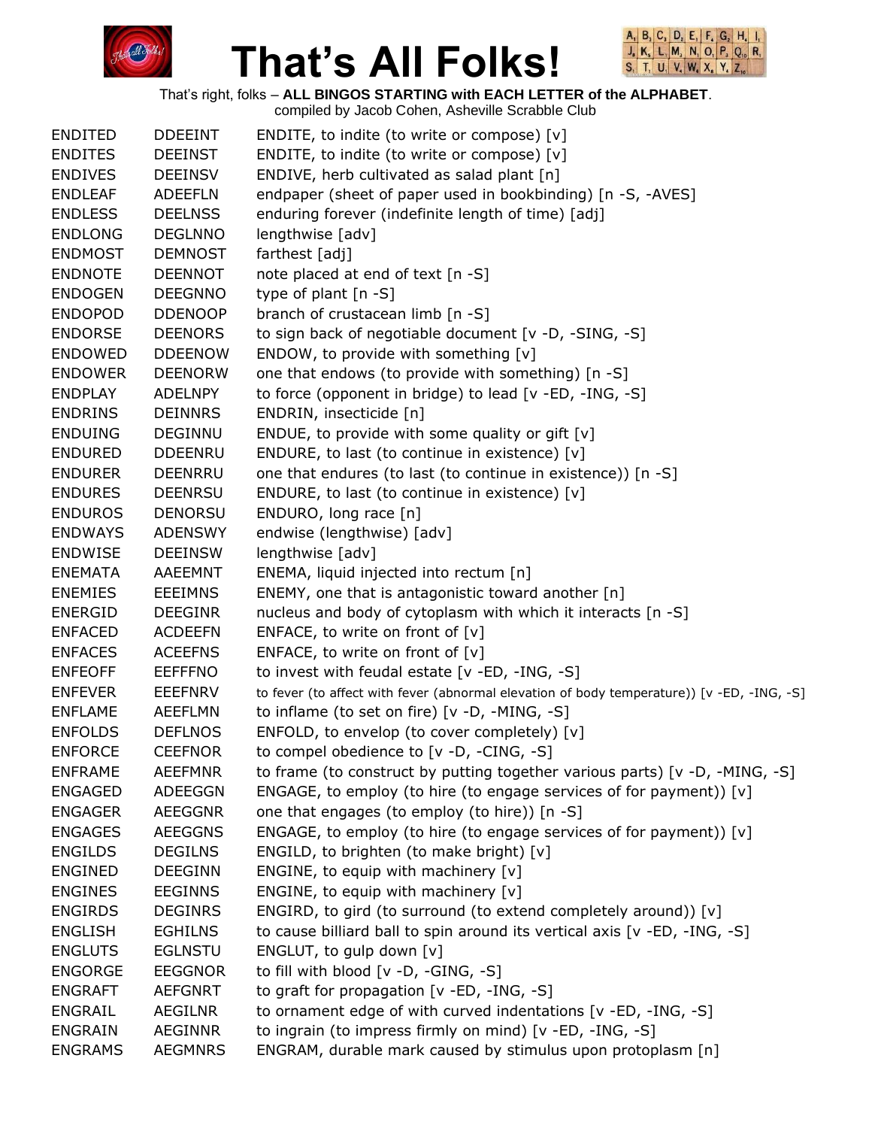



That's right, folks – **ALL BINGOS STARTING with EACH LETTER of the ALPHABET**.

| <b>ENDITED</b> | <b>DDEEINT</b> | ENDITE, to indite (to write or compose) [v]                                                |
|----------------|----------------|--------------------------------------------------------------------------------------------|
| <b>ENDITES</b> | <b>DEEINST</b> | ENDITE, to indite (to write or compose) [v]                                                |
| <b>ENDIVES</b> | <b>DEEINSV</b> | ENDIVE, herb cultivated as salad plant [n]                                                 |
| <b>ENDLEAF</b> | <b>ADEEFLN</b> | endpaper (sheet of paper used in bookbinding) [n -S, -AVES]                                |
| <b>ENDLESS</b> | <b>DEELNSS</b> | enduring forever (indefinite length of time) [adj]                                         |
| <b>ENDLONG</b> | <b>DEGLNNO</b> | lengthwise [adv]                                                                           |
| <b>ENDMOST</b> | <b>DEMNOST</b> | farthest [adj]                                                                             |
| <b>ENDNOTE</b> | <b>DEENNOT</b> | note placed at end of text [n -S]                                                          |
| <b>ENDOGEN</b> | <b>DEEGNNO</b> | type of plant $[n - S]$                                                                    |
| <b>ENDOPOD</b> | <b>DDENOOP</b> | branch of crustacean limb [n -S]                                                           |
| <b>ENDORSE</b> | <b>DEENORS</b> | to sign back of negotiable document [v -D, -SING, -S]                                      |
| <b>ENDOWED</b> | <b>DDEENOW</b> | ENDOW, to provide with something $[v]$                                                     |
| <b>ENDOWER</b> | <b>DEENORW</b> | one that endows (to provide with something) [n -S]                                         |
| <b>ENDPLAY</b> | <b>ADELNPY</b> | to force (opponent in bridge) to lead [v -ED, -ING, -S]                                    |
| <b>ENDRINS</b> | <b>DEINNRS</b> | ENDRIN, insecticide [n]                                                                    |
| <b>ENDUING</b> | <b>DEGINNU</b> | ENDUE, to provide with some quality or gift $[v]$                                          |
| <b>ENDURED</b> | <b>DDEENRU</b> | ENDURE, to last (to continue in existence) [v]                                             |
| <b>ENDURER</b> | <b>DEENRRU</b> | one that endures (to last (to continue in existence)) [n -S]                               |
| <b>ENDURES</b> | <b>DEENRSU</b> | ENDURE, to last (to continue in existence) [v]                                             |
| <b>ENDUROS</b> | <b>DENORSU</b> | ENDURO, long race [n]                                                                      |
| <b>ENDWAYS</b> | <b>ADENSWY</b> | endwise (lengthwise) [adv]                                                                 |
| <b>ENDWISE</b> | <b>DEEINSW</b> | lengthwise [adv]                                                                           |
| <b>ENEMATA</b> | AAEEMNT        | ENEMA, liquid injected into rectum [n]                                                     |
| <b>ENEMIES</b> | <b>EEEIMNS</b> | ENEMY, one that is antagonistic toward another [n]                                         |
| <b>ENERGID</b> | <b>DEEGINR</b> | nucleus and body of cytoplasm with which it interacts [n -S]                               |
| <b>ENFACED</b> | <b>ACDEEFN</b> | ENFACE, to write on front of $[v]$                                                         |
| <b>ENFACES</b> | <b>ACEEFNS</b> | ENFACE, to write on front of $[v]$                                                         |
| <b>ENFEOFF</b> | <b>EEFFFNO</b> | to invest with feudal estate [v -ED, -ING, -S]                                             |
| <b>ENFEVER</b> | <b>EEEFNRV</b> | to fever (to affect with fever (abnormal elevation of body temperature)) [v -ED, -ING, -S] |
| <b>ENFLAME</b> | AEEFLMN        | to inflame (to set on fire) [v -D, -MING, -S]                                              |
| <b>ENFOLDS</b> | <b>DEFLNOS</b> | ENFOLD, to envelop (to cover completely) [v]                                               |
| <b>ENFORCE</b> | <b>CEEFNOR</b> | to compel obedience to [v -D, -CING, -S]                                                   |
| <b>ENFRAME</b> | <b>AEEFMNR</b> | to frame (to construct by putting together various parts) [ $v$ -D, -MING, -S]             |
| <b>ENGAGED</b> | ADEEGGN        | ENGAGE, to employ (to hire (to engage services of for payment)) [v]                        |
| <b>ENGAGER</b> | <b>AEEGGNR</b> | one that engages (to employ (to hire)) [n -S]                                              |
| <b>ENGAGES</b> | <b>AEEGGNS</b> | ENGAGE, to employ (to hire (to engage services of for payment)) [v]                        |
| <b>ENGILDS</b> | <b>DEGILNS</b> | ENGILD, to brighten (to make bright) $[v]$                                                 |
| <b>ENGINED</b> | <b>DEEGINN</b> | ENGINE, to equip with machinery [v]                                                        |
| <b>ENGINES</b> | <b>EEGINNS</b> | ENGINE, to equip with machinery [v]                                                        |
| <b>ENGIRDS</b> | <b>DEGINRS</b> | ENGIRD, to gird (to surround (to extend completely around)) [v]                            |
| <b>ENGLISH</b> | <b>EGHILNS</b> | to cause billiard ball to spin around its vertical axis [v -ED, -ING, -S]                  |
| <b>ENGLUTS</b> | <b>EGLNSTU</b> | ENGLUT, to gulp down [v]                                                                   |
| <b>ENGORGE</b> | <b>EEGGNOR</b> | to fill with blood [v -D, -GING, -S]                                                       |
| <b>ENGRAFT</b> | <b>AEFGNRT</b> | to graft for propagation [v -ED, -ING, -S]                                                 |
| <b>ENGRAIL</b> | <b>AEGILNR</b> | to ornament edge of with curved indentations [v -ED, -ING, -S]                             |
| <b>ENGRAIN</b> | <b>AEGINNR</b> | to ingrain (to impress firmly on mind) [v -ED, -ING, -S]                                   |
| <b>ENGRAMS</b> | <b>AEGMNRS</b> | ENGRAM, durable mark caused by stimulus upon protoplasm [n]                                |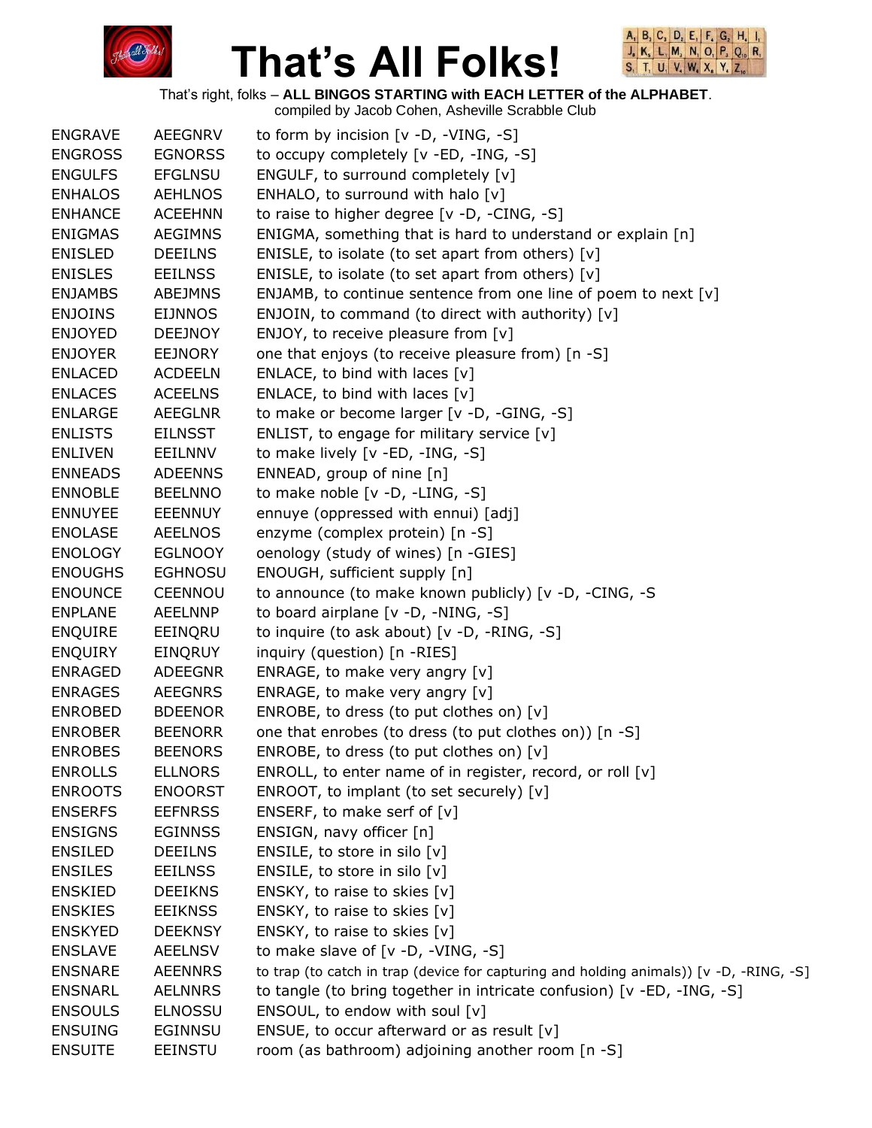



|                |                | compiled by Jacob Cohen, Asheville Scrabble Club                                        |
|----------------|----------------|-----------------------------------------------------------------------------------------|
| <b>ENGRAVE</b> | <b>AEEGNRV</b> | to form by incision $[v -D, -VING, -S]$                                                 |
| <b>ENGROSS</b> | <b>EGNORSS</b> | to occupy completely [v -ED, -ING, -S]                                                  |
| <b>ENGULFS</b> | <b>EFGLNSU</b> | ENGULF, to surround completely [v]                                                      |
| <b>ENHALOS</b> | <b>AEHLNOS</b> | ENHALO, to surround with halo [v]                                                       |
| <b>ENHANCE</b> | <b>ACEEHNN</b> | to raise to higher degree [v -D, -CING, -S]                                             |
| <b>ENIGMAS</b> | <b>AEGIMNS</b> | ENIGMA, something that is hard to understand or explain [n]                             |
| <b>ENISLED</b> | <b>DEEILNS</b> | ENISLE, to isolate (to set apart from others) $[v]$                                     |
| <b>ENISLES</b> | <b>EEILNSS</b> | ENISLE, to isolate (to set apart from others) [v]                                       |
| <b>ENJAMBS</b> | <b>ABEJMNS</b> | ENJAMB, to continue sentence from one line of poem to next [v]                          |
| <b>ENJOINS</b> | <b>EIJNNOS</b> | ENJOIN, to command (to direct with authority) [v]                                       |
| <b>ENJOYED</b> | <b>DEEJNOY</b> | ENJOY, to receive pleasure from [v]                                                     |
| <b>ENJOYER</b> | <b>EEJNORY</b> | one that enjoys (to receive pleasure from) [n -S]                                       |
| <b>ENLACED</b> | <b>ACDEELN</b> | ENLACE, to bind with laces $[v]$                                                        |
| <b>ENLACES</b> |                |                                                                                         |
|                | <b>ACEELNS</b> | ENLACE, to bind with laces $[v]$                                                        |
| <b>ENLARGE</b> | <b>AEEGLNR</b> | to make or become larger [v -D, -GING, -S]                                              |
| <b>ENLISTS</b> | <b>EILNSST</b> | ENLIST, to engage for military service $[v]$                                            |
| <b>ENLIVEN</b> | <b>EEILNNV</b> | to make lively [v -ED, -ING, -S]                                                        |
| <b>ENNEADS</b> | <b>ADEENNS</b> | ENNEAD, group of nine [n]                                                               |
| <b>ENNOBLE</b> | <b>BEELNNO</b> | to make noble [v -D, -LING, -S]                                                         |
| <b>ENNUYEE</b> | <b>EEENNUY</b> | ennuye (oppressed with ennui) [adj]                                                     |
| <b>ENOLASE</b> | <b>AEELNOS</b> | enzyme (complex protein) [n -S]                                                         |
| <b>ENOLOGY</b> | <b>EGLNOOY</b> | oenology (study of wines) [n -GIES]                                                     |
| <b>ENOUGHS</b> | <b>EGHNOSU</b> | ENOUGH, sufficient supply [n]                                                           |
| <b>ENOUNCE</b> | <b>CEENNOU</b> | to announce (to make known publicly) [v -D, -CING, -S                                   |
| <b>ENPLANE</b> | <b>AEELNNP</b> | to board airplane [v -D, -NING, -S]                                                     |
| <b>ENQUIRE</b> | EEINQRU        | to inquire (to ask about) $[v -D, -RING, -S]$                                           |
| <b>ENQUIRY</b> | <b>EINQRUY</b> | inquiry (question) [n -RIES]                                                            |
| <b>ENRAGED</b> | <b>ADEEGNR</b> | ENRAGE, to make very angry $[v]$                                                        |
| <b>ENRAGES</b> | <b>AEEGNRS</b> | ENRAGE, to make very angry [v]                                                          |
| <b>ENROBED</b> | <b>BDEENOR</b> | ENROBE, to dress (to put clothes on) [v]                                                |
| <b>ENROBER</b> | <b>BEENORR</b> | one that enrobes (to dress (to put clothes on)) [n -S]                                  |
| <b>ENROBES</b> | <b>BEENORS</b> | ENROBE, to dress (to put clothes on) [v]                                                |
| <b>ENROLLS</b> | <b>ELLNORS</b> | ENROLL, to enter name of in register, record, or roll [v]                               |
| <b>ENROOTS</b> | <b>ENOORST</b> | ENROOT, to implant (to set securely) [v]                                                |
| <b>ENSERFS</b> | <b>EEFNRSS</b> | ENSERF, to make serf of [v]                                                             |
| <b>ENSIGNS</b> | <b>EGINNSS</b> | ENSIGN, navy officer [n]                                                                |
| <b>ENSILED</b> | <b>DEEILNS</b> | ENSILE, to store in silo [v]                                                            |
| <b>ENSILES</b> | <b>EEILNSS</b> | ENSILE, to store in silo $[v]$                                                          |
| <b>ENSKIED</b> | <b>DEEIKNS</b> | ENSKY, to raise to skies [v]                                                            |
| <b>ENSKIES</b> | <b>EEIKNSS</b> | ENSKY, to raise to skies [v]                                                            |
| <b>ENSKYED</b> | <b>DEEKNSY</b> | ENSKY, to raise to skies [v]                                                            |
| <b>ENSLAVE</b> | <b>AEELNSV</b> | to make slave of $[v -D, -VING, -S]$                                                    |
| <b>ENSNARE</b> | <b>AEENNRS</b> | to trap (to catch in trap (device for capturing and holding animals)) [v -D, -RING, -S] |
| <b>ENSNARL</b> | <b>AELNNRS</b> | to tangle (to bring together in intricate confusion) [v -ED, -ING, -S]                  |
|                |                |                                                                                         |
| <b>ENSOULS</b> | <b>ELNOSSU</b> | ENSOUL, to endow with soul [v]                                                          |
| <b>ENSUING</b> | <b>EGINNSU</b> | ENSUE, to occur afterward or as result $[v]$                                            |
| <b>ENSUITE</b> | <b>EEINSTU</b> | room (as bathroom) adjoining another room [n -S]                                        |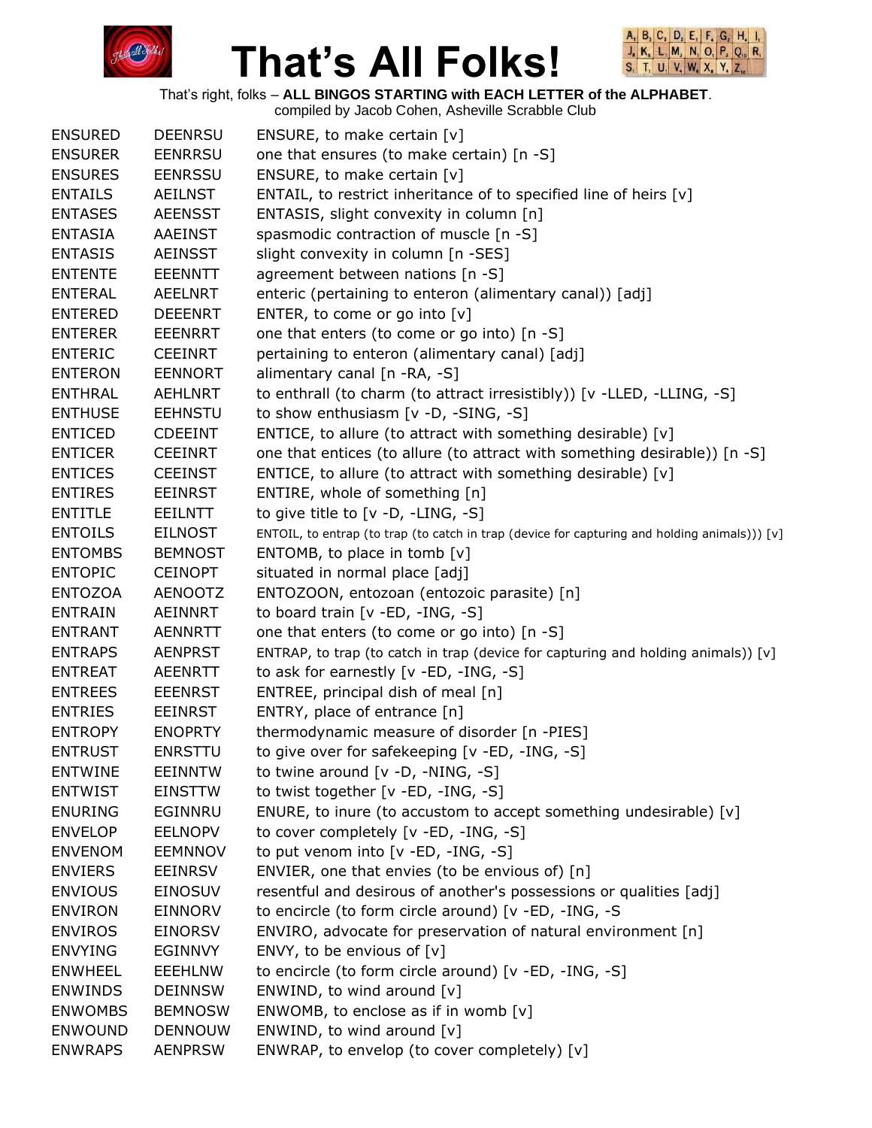



That's right, folks – **ALL BINGOS STARTING with EACH LETTER of the ALPHABET**.

compiled by Jacob Cohen, Asheville Scrabble Club ENSURED DEENRSU ENSURE, to make certain [v] ENSURER EENRRSU one that ensures (to make certain) [n -S] ENSURES EENRSSU ENSURE, to make certain [v] ENTAILS AEILNST ENTAIL, to restrict inheritance of to specified line of heirs [v] ENTASES AEENSST ENTASIS, slight convexity in column [n] ENTASIA AAEINST spasmodic contraction of muscle [n -S] ENTASIS AEINSST slight convexity in column [n -SES] ENTENTE EEENNTT agreement between nations [n -S] ENTERAL AEELNRT enteric (pertaining to enteron (alimentary canal)) [adj] ENTERED DEEENRT ENTER, to come or go into [v] ENTERER EEENRRT one that enters (to come or go into) [n -S] ENTERIC CEEINRT pertaining to enteron (alimentary canal) [adj] ENTERON EENNORT alimentary canal [n -RA, -S] ENTHRAL AEHLNRT to enthrall (to charm (to attract irresistibly)) [v -LLED, -LLING, -S] ENTHUSE EEHNSTU to show enthusiasm [v -D, -SING, -S] ENTICED CDEEINT ENTICE, to allure (to attract with something desirable) [v] ENTICER CEEINRT one that entices (to allure (to attract with something desirable)) [n -S] ENTICES CEEINST ENTICE, to allure (to attract with something desirable) [v] ENTIRES EEINRST ENTIRE, whole of something [n] ENTITLE EEILNTT to give title to [v -D, -LING, -S] ENTOILS EILNOST ENTOIL, to entrap (to trap (to catch in trap (device for capturing and holding animals))) [v] ENTOMBS BEMNOST ENTOMB, to place in tomb [v] ENTOPIC CEINOPT situated in normal place [adj] ENTOZOA AENOOTZ ENTOZOON, entozoan (entozoic parasite) [n] ENTRAIN AEINNRT to board train [v -ED, -ING, -S] ENTRANT AENNRTT one that enters (to come or go into) [n -S] ENTRAPS AENPRST ENTRAP, to trap (to catch in trap (device for capturing and holding animals)) [v] ENTREAT AEENRTT to ask for earnestly [v -ED, -ING, -S] ENTREES EEENRST ENTREE, principal dish of meal [n] ENTRIES EEINRST ENTRY, place of entrance [n] ENTROPY ENOPRTY thermodynamic measure of disorder [n -PIES] ENTRUST ENRSTTU to give over for safekeeping [v -ED, -ING, -S] ENTWINE EEINNTW to twine around [v -D, -NING, -S] ENTWIST EINSTTW to twist together [v -ED, -ING, -S] ENURING EGINNRU ENURE, to inure (to accustom to accept something undesirable) [v] ENVELOP EELNOPV to cover completely [v -ED, -ING, -S] ENVENOM EEMNNOV to put venom into [v -ED, -ING, -S] ENVIERS EEINRSV ENVIER, one that envies (to be envious of) [n] ENVIOUS EINOSUV resentful and desirous of another's possessions or qualities [adj] ENVIRON EINNORV to encircle (to form circle around) [v -ED, -ING, -S ENVIROS EINORSV ENVIRO, advocate for preservation of natural environment [n] ENVYING EGINNVY ENVY, to be envious of [v] ENWHEEL EEEHLNW to encircle (to form circle around) [v -ED, -ING, -S] ENWINDS DEINNSW ENWIND, to wind around [v] ENWOMBS BEMNOSW ENWOMB, to enclose as if in womb [v] ENWOUND DENNOUW ENWIND, to wind around [v] ENWRAPS AENPRSW ENWRAP, to envelop (to cover completely) [v]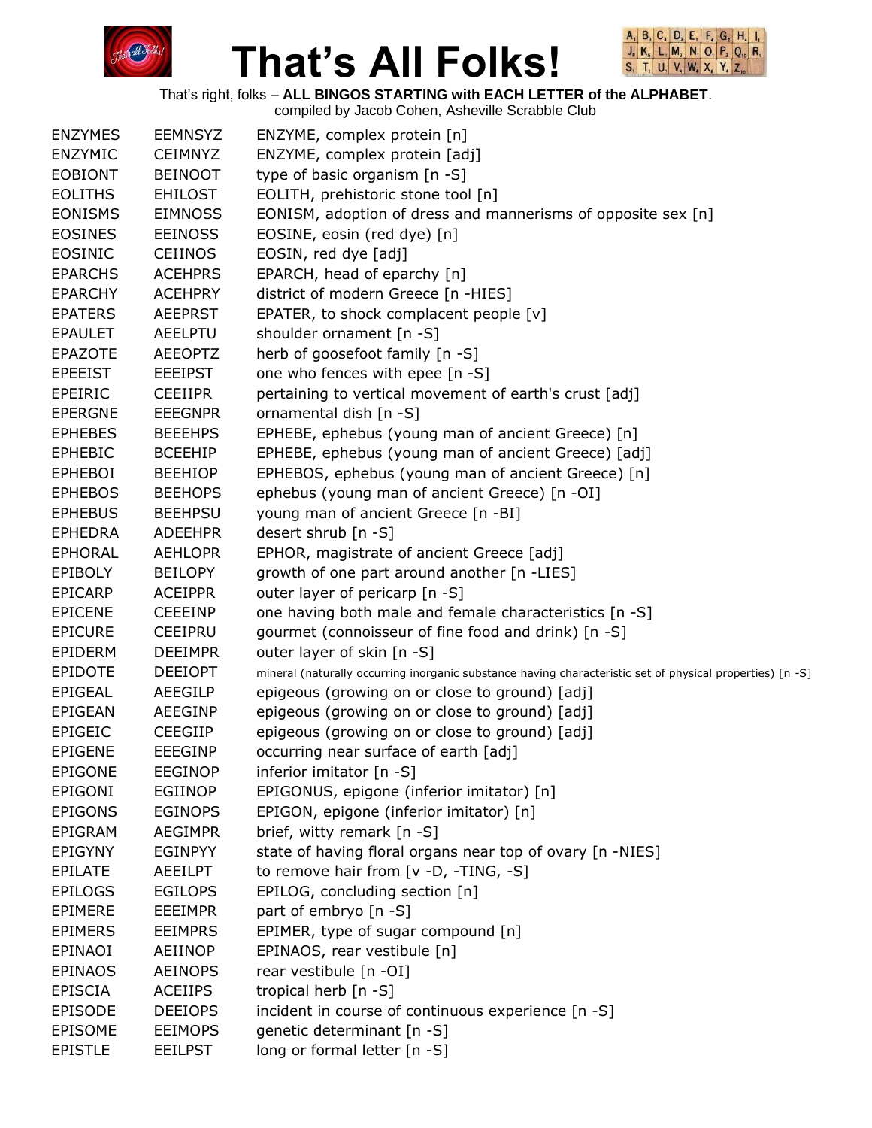



That's right, folks – **ALL BINGOS STARTING with EACH LETTER of the ALPHABET**.

| <b>ENZYMES</b> | <b>EEMNSYZ</b> | ENZYME, complex protein [n]                                                                               |
|----------------|----------------|-----------------------------------------------------------------------------------------------------------|
| <b>ENZYMIC</b> | <b>CEIMNYZ</b> | ENZYME, complex protein [adj]                                                                             |
| <b>EOBIONT</b> | <b>BEINOOT</b> | type of basic organism [n -S]                                                                             |
| <b>EOLITHS</b> | <b>EHILOST</b> | EOLITH, prehistoric stone tool [n]                                                                        |
| <b>EONISMS</b> | <b>EIMNOSS</b> | EONISM, adoption of dress and mannerisms of opposite sex [n]                                              |
| <b>EOSINES</b> | <b>EEINOSS</b> | EOSINE, eosin (red dye) [n]                                                                               |
| EOSINIC        | <b>CEIINOS</b> | EOSIN, red dye [adj]                                                                                      |
| <b>EPARCHS</b> | <b>ACEHPRS</b> | EPARCH, head of eparchy [n]                                                                               |
| <b>EPARCHY</b> | <b>ACEHPRY</b> | district of modern Greece [n -HIES]                                                                       |
| <b>EPATERS</b> | <b>AEEPRST</b> | EPATER, to shock complacent people [v]                                                                    |
| <b>EPAULET</b> | <b>AEELPTU</b> | shoulder ornament [n -S]                                                                                  |
| <b>EPAZOTE</b> | <b>AEEOPTZ</b> | herb of goosefoot family [n -S]                                                                           |
| <b>EPEEIST</b> | <b>EEEIPST</b> | one who fences with epee [n -S]                                                                           |
| EPEIRIC        | <b>CEEIIPR</b> | pertaining to vertical movement of earth's crust [adj]                                                    |
| <b>EPERGNE</b> | <b>EEEGNPR</b> | ornamental dish [n -S]                                                                                    |
| <b>EPHEBES</b> | <b>BEEEHPS</b> | EPHEBE, ephebus (young man of ancient Greece) [n]                                                         |
| <b>EPHEBIC</b> | <b>BCEEHIP</b> | EPHEBE, ephebus (young man of ancient Greece) [adj]                                                       |
| <b>EPHEBOI</b> | <b>BEEHIOP</b> | EPHEBOS, ephebus (young man of ancient Greece) [n]                                                        |
| <b>EPHEBOS</b> | <b>BEEHOPS</b> | ephebus (young man of ancient Greece) [n -OI]                                                             |
| <b>EPHEBUS</b> | <b>BEEHPSU</b> | young man of ancient Greece [n -BI]                                                                       |
| <b>EPHEDRA</b> | <b>ADEEHPR</b> | desert shrub [n -S]                                                                                       |
| <b>EPHORAL</b> | <b>AEHLOPR</b> | EPHOR, magistrate of ancient Greece [adj]                                                                 |
| <b>EPIBOLY</b> | <b>BEILOPY</b> | growth of one part around another [n -LIES]                                                               |
| <b>EPICARP</b> | <b>ACEIPPR</b> | outer layer of pericarp [n -S]                                                                            |
| <b>EPICENE</b> | <b>CEEEINP</b> | one having both male and female characteristics [n -S]                                                    |
| <b>EPICURE</b> | <b>CEEIPRU</b> | gourmet (connoisseur of fine food and drink) [n -S]                                                       |
| EPIDERM        | <b>DEEIMPR</b> | outer layer of skin [n -S]                                                                                |
| <b>EPIDOTE</b> | <b>DEEIOPT</b> | mineral (naturally occurring inorganic substance having characteristic set of physical properties) [n -S] |
| <b>EPIGEAL</b> | AEEGILP        | epigeous (growing on or close to ground) [adj]                                                            |
| EPIGEAN        | AEEGINP        | epigeous (growing on or close to ground) [adj]                                                            |
| <b>EPIGEIC</b> | <b>CEEGIIP</b> | epigeous (growing on or close to ground) [adj]                                                            |
| <b>EPIGENE</b> | <b>EEEGINP</b> | occurring near surface of earth [adj]                                                                     |
| <b>EPIGONE</b> | <b>EEGINOP</b> | inferior imitator [n -S]                                                                                  |
| EPIGONI        | EGIINOP        | EPIGONUS, epigone (inferior imitator) [n]                                                                 |
| <b>EPIGONS</b> | <b>EGINOPS</b> | EPIGON, epigone (inferior imitator) [n]                                                                   |
| EPIGRAM        | <b>AEGIMPR</b> | brief, witty remark [n -S]                                                                                |
| <b>EPIGYNY</b> | <b>EGINPYY</b> | state of having floral organs near top of ovary [n -NIES]                                                 |
| <b>EPILATE</b> | <b>AEEILPT</b> | to remove hair from [v -D, -TING, -S]                                                                     |
| <b>EPILOGS</b> | <b>EGILOPS</b> | EPILOG, concluding section [n]                                                                            |
| <b>EPIMERE</b> | <b>EEEIMPR</b> | part of embryo [n -S]                                                                                     |
| <b>EPIMERS</b> | <b>EEIMPRS</b> | EPIMER, type of sugar compound [n]                                                                        |
| EPINAOI        | AEIINOP        | EPINAOS, rear vestibule [n]                                                                               |
| <b>EPINAOS</b> | <b>AEINOPS</b> | rear vestibule [n -OI]                                                                                    |
| EPISCIA        | <b>ACEIIPS</b> | tropical herb [n -S]                                                                                      |
| <b>EPISODE</b> | <b>DEEIOPS</b> | incident in course of continuous experience [n -S]                                                        |
| <b>EPISOME</b> | <b>EEIMOPS</b> | genetic determinant [n -S]                                                                                |
| <b>EPISTLE</b> | <b>EEILPST</b> | long or formal letter [n -S]                                                                              |
|                |                |                                                                                                           |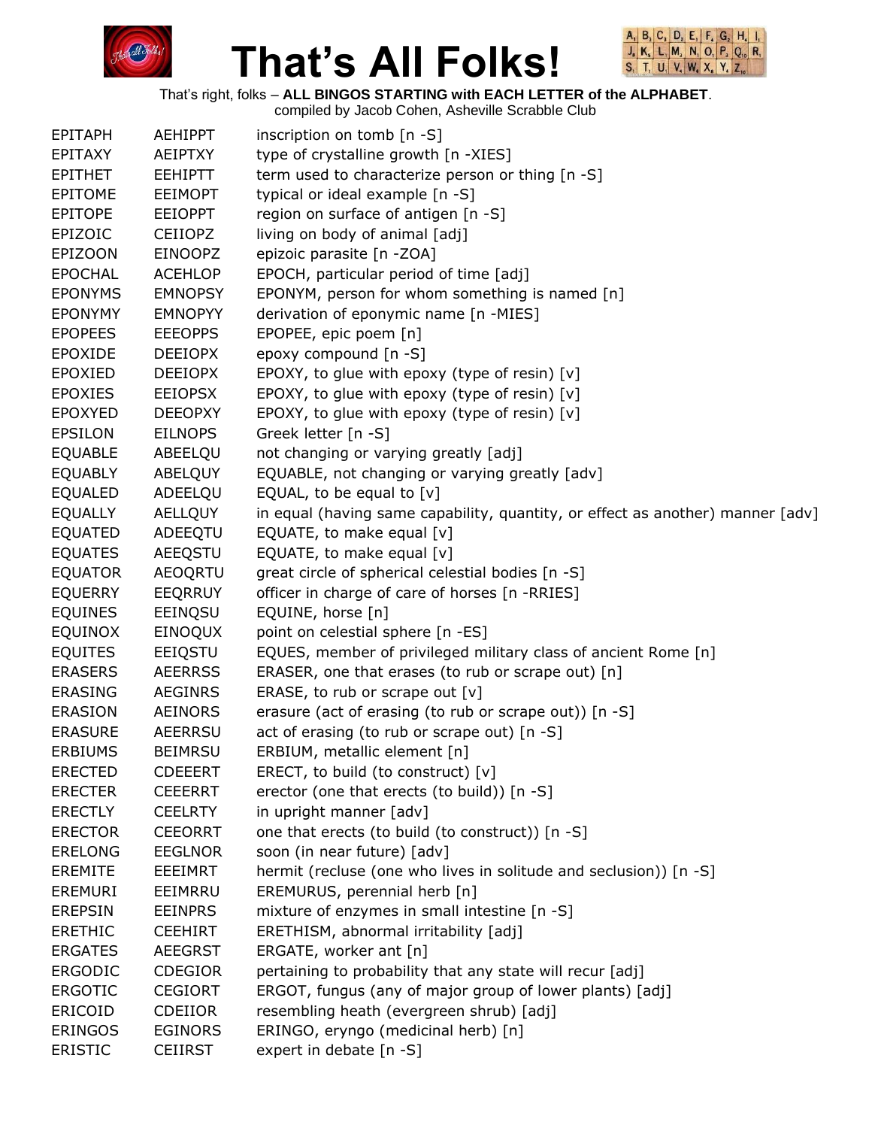



That's right, folks – **ALL BINGOS STARTING with EACH LETTER of the ALPHABET**.

| <b>EPITAPH</b> | <b>AEHIPPT</b> | inscription on tomb [n -S]                                                     |
|----------------|----------------|--------------------------------------------------------------------------------|
| EPITAXY        | AEIPTXY        | type of crystalline growth [n -XIES]                                           |
| <b>EPITHET</b> | <b>EEHIPTT</b> | term used to characterize person or thing [n -S]                               |
| <b>EPITOME</b> | <b>EEIMOPT</b> | typical or ideal example [n -S]                                                |
| EPITOPE        | <b>EEIOPPT</b> | region on surface of antigen [n -S]                                            |
| EPIZOIC        | <b>CEIIOPZ</b> | living on body of animal [adj]                                                 |
| <b>EPIZOON</b> | <b>EINOOPZ</b> | epizoic parasite [n -ZOA]                                                      |
| <b>EPOCHAL</b> | <b>ACEHLOP</b> | EPOCH, particular period of time [adj]                                         |
| <b>EPONYMS</b> | <b>EMNOPSY</b> | EPONYM, person for whom something is named [n]                                 |
| <b>EPONYMY</b> | <b>EMNOPYY</b> | derivation of eponymic name [n -MIES]                                          |
| <b>EPOPEES</b> | <b>EEEOPPS</b> | EPOPEE, epic poem [n]                                                          |
| <b>EPOXIDE</b> | <b>DEEIOPX</b> | epoxy compound [n -S]                                                          |
| <b>EPOXIED</b> | <b>DEEIOPX</b> | EPOXY, to glue with epoxy (type of resin) [v]                                  |
| <b>EPOXIES</b> | <b>EEIOPSX</b> | EPOXY, to glue with epoxy (type of resin) [v]                                  |
| <b>EPOXYED</b> | <b>DEEOPXY</b> | EPOXY, to glue with epoxy (type of resin) [v]                                  |
| <b>EPSILON</b> | <b>EILNOPS</b> | Greek letter [n -S]                                                            |
| <b>EQUABLE</b> | ABEELQU        | not changing or varying greatly [adj]                                          |
| <b>EQUABLY</b> | <b>ABELQUY</b> | EQUABLE, not changing or varying greatly [adv]                                 |
| <b>EQUALED</b> | ADEELQU        | EQUAL, to be equal to $[v]$                                                    |
| <b>EQUALLY</b> | <b>AELLQUY</b> | in equal (having same capability, quantity, or effect as another) manner [adv] |
| <b>EQUATED</b> | ADEEQTU        | EQUATE, to make equal [v]                                                      |
| <b>EQUATES</b> | AEEQSTU        | EQUATE, to make equal [v]                                                      |
| <b>EQUATOR</b> | <b>AEOQRTU</b> | great circle of spherical celestial bodies [n -S]                              |
| <b>EQUERRY</b> | <b>EEQRRUY</b> | officer in charge of care of horses [n -RRIES]                                 |
| <b>EQUINES</b> | EEINQSU        | EQUINE, horse [n]                                                              |
| <b>EQUINOX</b> | EINOQUX        | point on celestial sphere [n -ES]                                              |
| <b>EQUITES</b> | EEIQSTU        | EQUES, member of privileged military class of ancient Rome [n]                 |
| <b>ERASERS</b> | <b>AEERRSS</b> | ERASER, one that erases (to rub or scrape out) [n]                             |
| <b>ERASING</b> | <b>AEGINRS</b> | ERASE, to rub or scrape out [v]                                                |
| <b>ERASION</b> | <b>AEINORS</b> | erasure (act of erasing (to rub or scrape out)) [n -S]                         |
| <b>ERASURE</b> | <b>AEERRSU</b> | act of erasing (to rub or scrape out) [n -S]                                   |
| <b>ERBIUMS</b> | <b>BEIMRSU</b> | ERBIUM, metallic element [n]                                                   |
| <b>ERECTED</b> | <b>CDEEERT</b> | ERECT, to build (to construct) $[v]$                                           |
| <b>ERECTER</b> | <b>CEEERRT</b> | erector (one that erects (to build)) [n -S]                                    |
| <b>ERECTLY</b> | <b>CEELRTY</b> | in upright manner [adv]                                                        |
| <b>ERECTOR</b> | <b>CEEORRT</b> | one that erects (to build (to construct)) [n -S]                               |
| <b>ERELONG</b> | <b>EEGLNOR</b> | soon (in near future) [adv]                                                    |
| <b>EREMITE</b> | EEEIMRT        | hermit (recluse (one who lives in solitude and seclusion)) [n -S]              |
| <b>EREMURI</b> | EEIMRRU        | EREMURUS, perennial herb [n]                                                   |
| <b>EREPSIN</b> | <b>EEINPRS</b> | mixture of enzymes in small intestine [n -S]                                   |
| <b>ERETHIC</b> | <b>CEEHIRT</b> | ERETHISM, abnormal irritability [adj]                                          |
| <b>ERGATES</b> | <b>AEEGRST</b> | ERGATE, worker ant [n]                                                         |
| <b>ERGODIC</b> | <b>CDEGIOR</b> | pertaining to probability that any state will recur [adj]                      |
| <b>ERGOTIC</b> | <b>CEGIORT</b> | ERGOT, fungus (any of major group of lower plants) [adj]                       |
| ERICOID        | <b>CDEIIOR</b> | resembling heath (evergreen shrub) [adj]                                       |
| <b>ERINGOS</b> | <b>EGINORS</b> | ERINGO, eryngo (medicinal herb) [n]                                            |
| <b>ERISTIC</b> | <b>CEIIRST</b> | expert in debate [n -S]                                                        |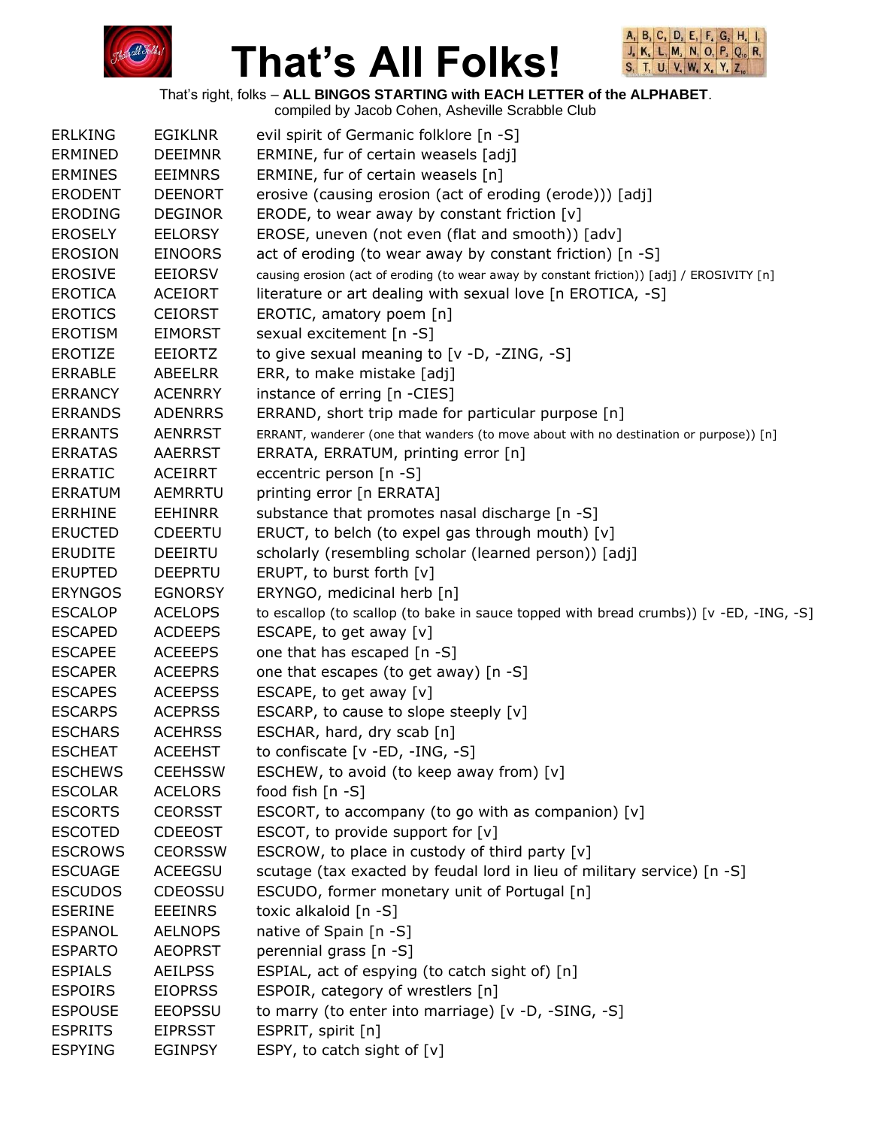



|                |                | compiled by Jacob Cohen, Asheville Scrabble Club                                           |
|----------------|----------------|--------------------------------------------------------------------------------------------|
| <b>ERLKING</b> | <b>EGIKLNR</b> | evil spirit of Germanic folklore [n -S]                                                    |
| <b>ERMINED</b> | <b>DEEIMNR</b> | ERMINE, fur of certain weasels [adj]                                                       |
| <b>ERMINES</b> | <b>EEIMNRS</b> | ERMINE, fur of certain weasels [n]                                                         |
| <b>ERODENT</b> | <b>DEENORT</b> | erosive (causing erosion (act of eroding (erode))) [adj]                                   |
| <b>ERODING</b> | <b>DEGINOR</b> | ERODE, to wear away by constant friction $[v]$                                             |
| <b>EROSELY</b> | <b>EELORSY</b> | EROSE, uneven (not even (flat and smooth)) [adv]                                           |
| <b>EROSION</b> | <b>EINOORS</b> | act of eroding (to wear away by constant friction) [n -S]                                  |
| <b>EROSIVE</b> | <b>EEIORSV</b> | causing erosion (act of eroding (to wear away by constant friction)) [adj] / EROSIVITY [n] |
|                |                |                                                                                            |
| <b>EROTICA</b> | <b>ACEIORT</b> | literature or art dealing with sexual love [n EROTICA, -S]                                 |
| <b>EROTICS</b> | <b>CEIORST</b> | EROTIC, amatory poem [n]                                                                   |
| <b>EROTISM</b> | <b>EIMORST</b> | sexual excitement [n -S]                                                                   |
| <b>EROTIZE</b> | <b>EEIORTZ</b> | to give sexual meaning to [v -D, -ZING, -S]                                                |
| <b>ERRABLE</b> | <b>ABEELRR</b> | ERR, to make mistake [adj]                                                                 |
| <b>ERRANCY</b> | <b>ACENRRY</b> | instance of erring [n -CIES]                                                               |
| <b>ERRANDS</b> | <b>ADENRRS</b> | ERRAND, short trip made for particular purpose [n]                                         |
| <b>ERRANTS</b> | <b>AENRRST</b> | ERRANT, wanderer (one that wanders (to move about with no destination or purpose)) [n]     |
| <b>ERRATAS</b> | <b>AAERRST</b> | ERRATA, ERRATUM, printing error [n]                                                        |
| <b>ERRATIC</b> | <b>ACEIRRT</b> | eccentric person [n -S]                                                                    |
| <b>ERRATUM</b> | AEMRRTU        | printing error [n ERRATA]                                                                  |
| <b>ERRHINE</b> | <b>EEHINRR</b> | substance that promotes nasal discharge [n -S]                                             |
| <b>ERUCTED</b> | <b>CDEERTU</b> | ERUCT, to belch (to expel gas through mouth) [v]                                           |
| <b>ERUDITE</b> | <b>DEEIRTU</b> | scholarly (resembling scholar (learned person)) [adj]                                      |
| <b>ERUPTED</b> | <b>DEEPRTU</b> | ERUPT, to burst forth [v]                                                                  |
| <b>ERYNGOS</b> | <b>EGNORSY</b> | ERYNGO, medicinal herb [n]                                                                 |
| <b>ESCALOP</b> | <b>ACELOPS</b> | to escallop (to scallop (to bake in sauce topped with bread crumbs)) [v -ED, -ING, -S]     |
| <b>ESCAPED</b> | <b>ACDEEPS</b> | ESCAPE, to get away [v]                                                                    |
| <b>ESCAPEE</b> | <b>ACEEEPS</b> | one that has escaped [n -S]                                                                |
|                |                |                                                                                            |
| <b>ESCAPER</b> | <b>ACEEPRS</b> | one that escapes (to get away) [n -S]                                                      |
| <b>ESCAPES</b> | <b>ACEEPSS</b> | ESCAPE, to get away $[v]$                                                                  |
| <b>ESCARPS</b> | <b>ACEPRSS</b> | ESCARP, to cause to slope steeply [v]                                                      |
| <b>ESCHARS</b> | <b>ACEHRSS</b> | ESCHAR, hard, dry scab [n]                                                                 |
| <b>ESCHEAT</b> | <b>ACEEHST</b> | to confiscate [v -ED, -ING, -S]                                                            |
| <b>ESCHEWS</b> | <b>CEEHSSW</b> | ESCHEW, to avoid (to keep away from) [v]                                                   |
| <b>ESCOLAR</b> | <b>ACELORS</b> | food fish [n -S]                                                                           |
| <b>ESCORTS</b> | <b>CEORSST</b> | ESCORT, to accompany (to go with as companion) [v]                                         |
| <b>ESCOTED</b> | <b>CDEEOST</b> | ESCOT, to provide support for $[v]$                                                        |
| <b>ESCROWS</b> | <b>CEORSSW</b> | ESCROW, to place in custody of third party [v]                                             |
| <b>ESCUAGE</b> | <b>ACEEGSU</b> | scutage (tax exacted by feudal lord in lieu of military service) [n -S]                    |
| <b>ESCUDOS</b> | <b>CDEOSSU</b> | ESCUDO, former monetary unit of Portugal [n]                                               |
| <b>ESERINE</b> | <b>EEEINRS</b> | toxic alkaloid [n -S]                                                                      |
| <b>ESPANOL</b> | <b>AELNOPS</b> | native of Spain [n -S]                                                                     |
| <b>ESPARTO</b> | <b>AEOPRST</b> | perennial grass [n -S]                                                                     |
| <b>ESPIALS</b> | <b>AEILPSS</b> | ESPIAL, act of espying (to catch sight of) [n]                                             |
| <b>ESPOIRS</b> | <b>EIOPRSS</b> | ESPOIR, category of wrestlers [n]                                                          |
| <b>ESPOUSE</b> | <b>EEOPSSU</b> | to marry (to enter into marriage) [v -D, -SING, -S]                                        |
| <b>ESPRITS</b> | <b>EIPRSST</b> | ESPRIT, spirit [n]                                                                         |
|                |                |                                                                                            |
| <b>ESPYING</b> | <b>EGINPSY</b> | ESPY, to catch sight of [v]                                                                |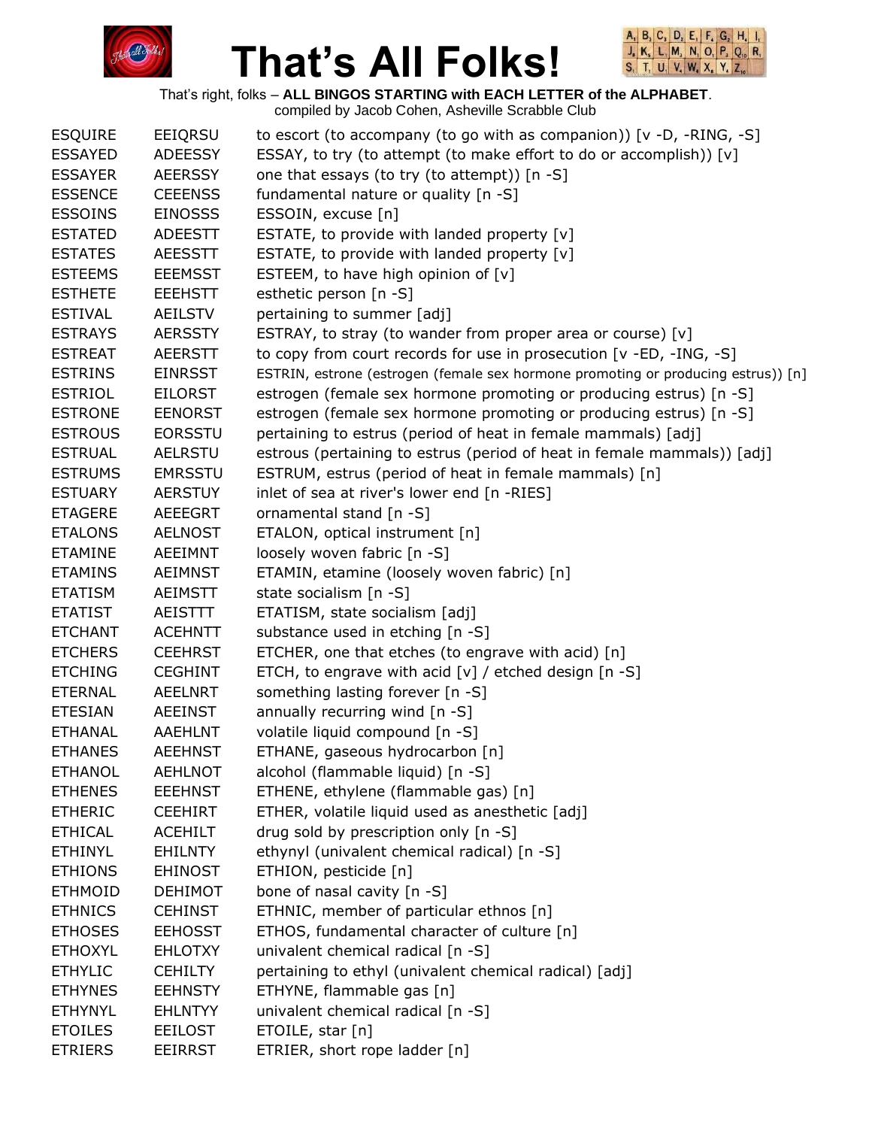



That's right, folks – **ALL BINGOS STARTING with EACH LETTER of the ALPHABET**.

| <b>ESQUIRE</b> | EEIQRSU        | to escort (to accompany (to go with as companion)) [v -D, -RING, -S]              |
|----------------|----------------|-----------------------------------------------------------------------------------|
| <b>ESSAYED</b> | <b>ADEESSY</b> | ESSAY, to try (to attempt (to make effort to do or accomplish)) [v]               |
| <b>ESSAYER</b> | <b>AEERSSY</b> | one that essays (to try (to attempt)) [n -S]                                      |
| <b>ESSENCE</b> | <b>CEEENSS</b> | fundamental nature or quality [n -S]                                              |
| <b>ESSOINS</b> | <b>EINOSSS</b> | ESSOIN, excuse [n]                                                                |
| <b>ESTATED</b> | <b>ADEESTT</b> | ESTATE, to provide with landed property [v]                                       |
| <b>ESTATES</b> | <b>AEESSTT</b> | ESTATE, to provide with landed property [v]                                       |
| <b>ESTEEMS</b> | <b>EEEMSST</b> | ESTEEM, to have high opinion of $[v]$                                             |
| <b>ESTHETE</b> | <b>EEEHSTT</b> | esthetic person [n -S]                                                            |
| <b>ESTIVAL</b> | AEILSTV        | pertaining to summer [adj]                                                        |
| <b>ESTRAYS</b> | <b>AERSSTY</b> | ESTRAY, to stray (to wander from proper area or course) [v]                       |
| <b>ESTREAT</b> | <b>AEERSTT</b> | to copy from court records for use in prosecution [v -ED, -ING, -S]               |
| <b>ESTRINS</b> | <b>EINRSST</b> | ESTRIN, estrone (estrogen (female sex hormone promoting or producing estrus)) [n] |
| <b>ESTRIOL</b> | <b>EILORST</b> | estrogen (female sex hormone promoting or producing estrus) [n -S]                |
| <b>ESTRONE</b> | <b>EENORST</b> | estrogen (female sex hormone promoting or producing estrus) [n -S]                |
| <b>ESTROUS</b> | <b>EORSSTU</b> | pertaining to estrus (period of heat in female mammals) [adj]                     |
| <b>ESTRUAL</b> | <b>AELRSTU</b> | estrous (pertaining to estrus (period of heat in female mammals)) [adj]           |
| <b>ESTRUMS</b> | <b>EMRSSTU</b> | ESTRUM, estrus (period of heat in female mammals) [n]                             |
| <b>ESTUARY</b> | <b>AERSTUY</b> | inlet of sea at river's lower end [n -RIES]                                       |
| <b>ETAGERE</b> | <b>AEEEGRT</b> | ornamental stand [n -S]                                                           |
| <b>ETALONS</b> | <b>AELNOST</b> | ETALON, optical instrument [n]                                                    |
| <b>ETAMINE</b> | AEEIMNT        | loosely woven fabric [n -S]                                                       |
| <b>ETAMINS</b> | <b>AEIMNST</b> | ETAMIN, etamine (loosely woven fabric) [n]                                        |
| <b>ETATISM</b> | <b>AEIMSTT</b> | state socialism [n -S]                                                            |
| <b>ETATIST</b> | AEISTTT        | ETATISM, state socialism [adj]                                                    |
|                |                |                                                                                   |
| <b>ETCHANT</b> | <b>ACEHNTT</b> | substance used in etching [n -S]                                                  |
| <b>ETCHERS</b> | <b>CEEHRST</b> | ETCHER, one that etches (to engrave with acid) [n]                                |
| <b>ETCHING</b> | <b>CEGHINT</b> | ETCH, to engrave with acid [v] / etched design [n -S]                             |
| <b>ETERNAL</b> | <b>AEELNRT</b> | something lasting forever [n -S]                                                  |
| <b>ETESIAN</b> | <b>AEEINST</b> | annually recurring wind $[n -S]$                                                  |
| <b>ETHANAL</b> | <b>AAEHLNT</b> | volatile liquid compound [n -S]                                                   |
| <b>ETHANES</b> | <b>AEEHNST</b> | ETHANE, gaseous hydrocarbon [n]                                                   |
| <b>ETHANOL</b> | <b>AEHLNOT</b> | alcohol (flammable liquid) [n -S]                                                 |
| <b>ETHENES</b> | <b>EEEHNST</b> | ETHENE, ethylene (flammable gas) [n]                                              |
| <b>ETHERIC</b> | <b>CEEHIRT</b> | ETHER, volatile liquid used as anesthetic [adj]                                   |
| <b>ETHICAL</b> | <b>ACEHILT</b> | drug sold by prescription only [n -S]                                             |
| <b>ETHINYL</b> | <b>EHILNTY</b> | ethynyl (univalent chemical radical) [n -S]                                       |
| <b>ETHIONS</b> | <b>EHINOST</b> | ETHION, pesticide [n]                                                             |
| <b>ETHMOID</b> | <b>DEHIMOT</b> | bone of nasal cavity [n -S]                                                       |
| <b>ETHNICS</b> | <b>CEHINST</b> | ETHNIC, member of particular ethnos [n]                                           |
| <b>ETHOSES</b> | <b>EEHOSST</b> | ETHOS, fundamental character of culture [n]                                       |
| <b>ETHOXYL</b> | <b>EHLOTXY</b> | univalent chemical radical [n -S]                                                 |
| <b>ETHYLIC</b> | <b>CEHILTY</b> | pertaining to ethyl (univalent chemical radical) [adj]                            |
| <b>ETHYNES</b> | <b>EEHNSTY</b> | ETHYNE, flammable gas [n]                                                         |
| <b>ETHYNYL</b> | <b>EHLNTYY</b> | univalent chemical radical [n -S]                                                 |
| <b>ETOILES</b> | <b>EEILOST</b> | ETOILE, star [n]                                                                  |
| <b>ETRIERS</b> | <b>EEIRRST</b> | ETRIER, short rope ladder [n]                                                     |
|                |                |                                                                                   |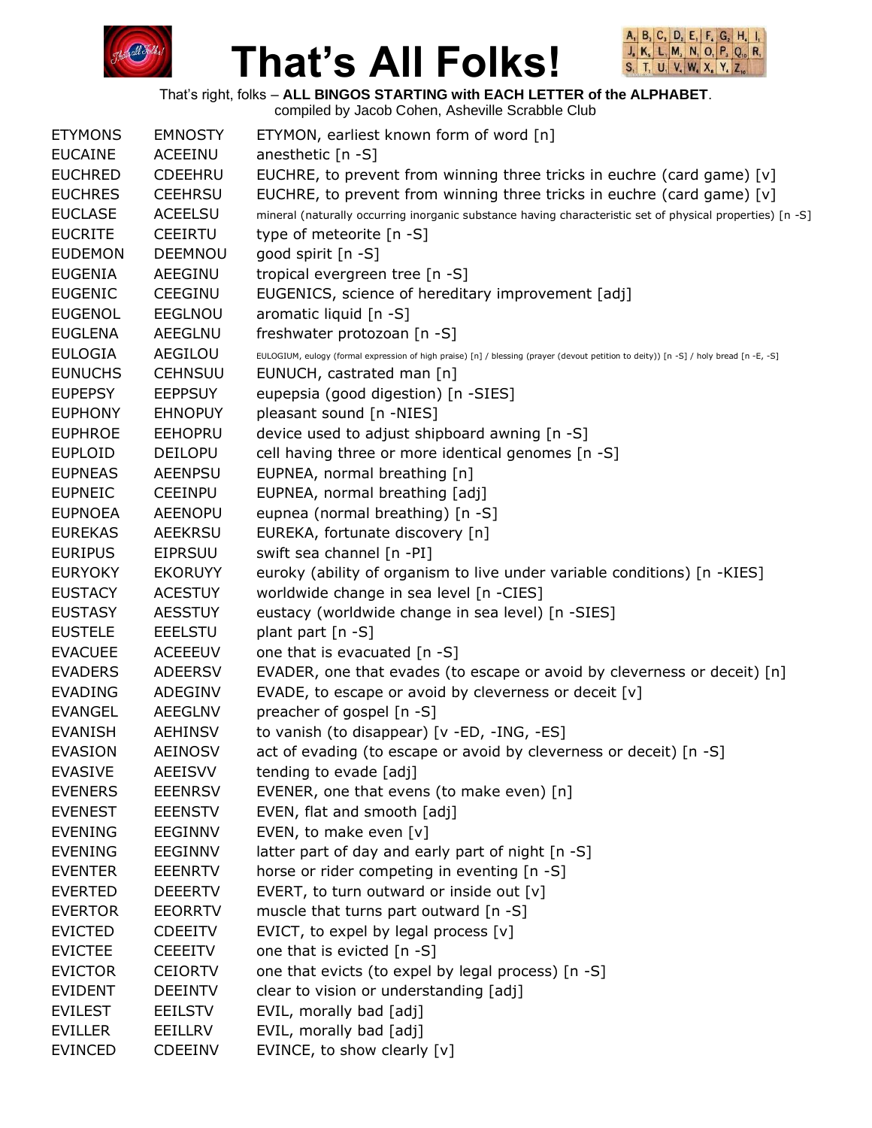



That's right, folks – **ALL BINGOS STARTING with EACH LETTER of the ALPHABET**.

compiled by Jacob Cohen, Asheville Scrabble Club ETYMONS EMNOSTY ETYMON, earliest known form of word [n] EUCAINE ACEEINU anesthetic [n -S] EUCHRED CDEEHRU EUCHRE, to prevent from winning three tricks in euchre (card game) [v] EUCHRES CEEHRSU EUCHRE, to prevent from winning three tricks in euchre (card game)  $[v]$ EUCLASE ACEELSU mineral (naturally occurring inorganic substance having characteristic set of physical properties) [n -S] EUCRITE CEEIRTU type of meteorite [n -S] EUDEMON DEEMNOU good spirit [n -S] EUGENIA AEEGINU tropical evergreen tree [n -S] EUGENIC CEEGINU EUGENICS, science of hereditary improvement [adj] EUGENOL EEGLNOU aromatic liquid [n -S] EUGLENA AEEGLNU freshwater protozoan [n -S] EULOGIA AEGILOU EULOGIUM, eulogy (formal expression of high praise) [n] / blessing (prayer (devout petition to deity)) [n -S] / holy bread [n -E, -S] EUNUCHS CEHNSUU EUNUCH, castrated man [n] EUPEPSY EEPPSUY eupepsia (good digestion) [n -SIES] EUPHONY EHNOPUY pleasant sound [n -NIES] EUPHROE EEHOPRU device used to adjust shipboard awning [n -S] EUPLOID DEILOPU cell having three or more identical genomes [n -S] EUPNEAS AEENPSU EUPNEA, normal breathing [n] EUPNEIC CEEINPU EUPNEA, normal breathing [adj] EUPNOEA AEENOPU eupnea (normal breathing) [n -S] EUREKAS AEEKRSU EUREKA, fortunate discovery [n] EURIPUS EIPRSUU swift sea channel [n -PI] EURYOKY EKORUYY euroky (ability of organism to live under variable conditions) [n -KIES] EUSTACY ACESTUY worldwide change in sea level [n -CIES] EUSTASY AESSTUY eustacy (worldwide change in sea level) [n -SIES] EUSTELE EEELSTU plant part [n -S] EVACUEE ACEEEUV one that is evacuated [n -S] EVADERS ADEERSV EVADER, one that evades (to escape or avoid by cleverness or deceit) [n] EVADING ADEGINV EVADE, to escape or avoid by cleverness or deceit [v] EVANGEL AEEGLNV preacher of gospel [n -S] EVANISH AEHINSV to vanish (to disappear) [v -ED, -ING, -ES] EVASION AEINOSV act of evading (to escape or avoid by cleverness or deceit) [n -S] EVASIVE AEEISVV tending to evade [adj] EVENERS EEENRSV EVENER, one that evens (to make even) [n] EVENEST EEENSTV EVEN, flat and smooth [adj] EVENING EEGINNV EVEN, to make even [v] EVENING EEGINNV latter part of day and early part of night [n -S] EVENTER EEENRTV horse or rider competing in eventing [n -S] EVERTED DEEERTV EVERT, to turn outward or inside out [v] EVERTOR EEORRTV muscle that turns part outward [n -S] EVICTED CDEEITV EVICT, to expel by legal process [v] EVICTEE CEEEITV one that is evicted [n -S] EVICTOR CEIORTV one that evicts (to expel by legal process) [n -S] EVIDENT DEEINTV clear to vision or understanding [adj] EVILEST EEILSTV EVIL, morally bad [adj] EVILLER EEILLRV EVIL, morally bad [adj] EVINCED CDEEINV EVINCE, to show clearly [v]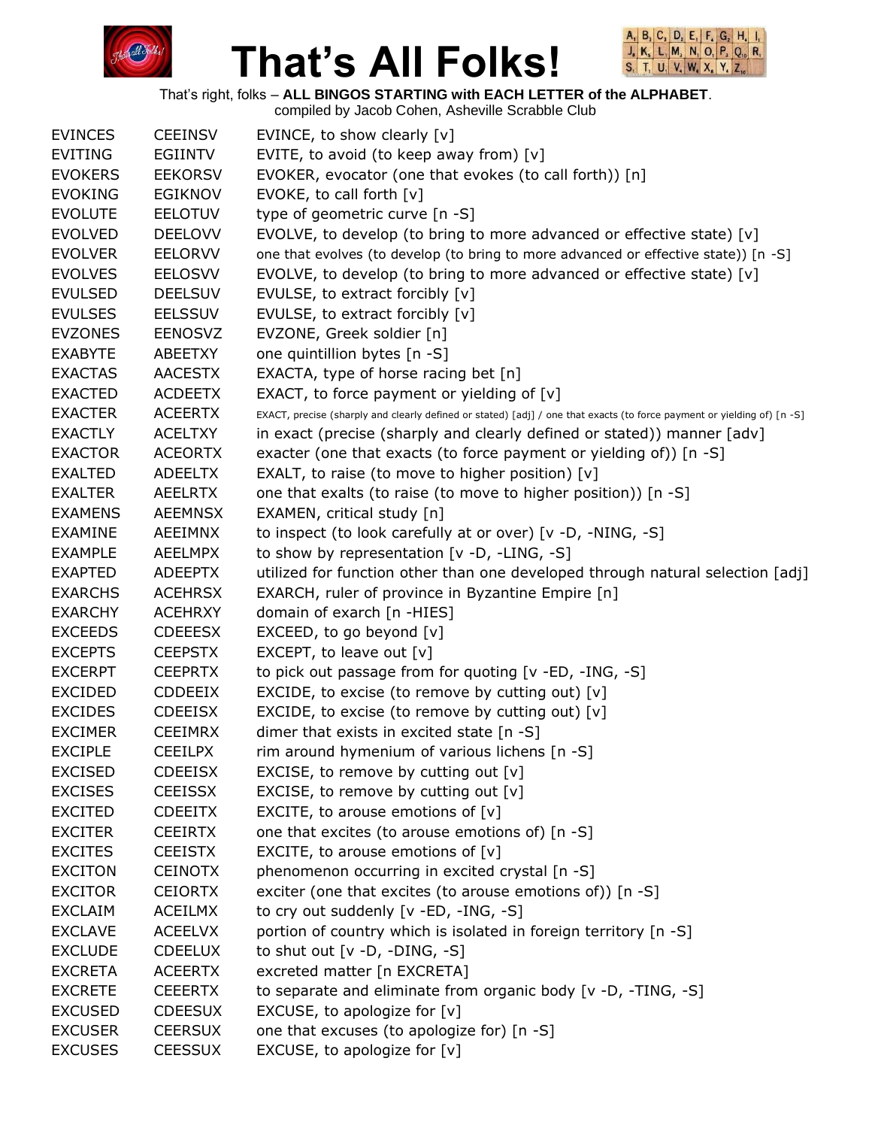



|                |                | compiled by Jacob Cohen, Asheville Scrabble Club                                                                        |
|----------------|----------------|-------------------------------------------------------------------------------------------------------------------------|
| <b>EVINCES</b> | <b>CEEINSV</b> | EVINCE, to show clearly [v]                                                                                             |
| <b>EVITING</b> | <b>EGIINTV</b> | EVITE, to avoid (to keep away from) [v]                                                                                 |
| <b>EVOKERS</b> | <b>EEKORSV</b> | EVOKER, evocator (one that evokes (to call forth)) [n]                                                                  |
| <b>EVOKING</b> | <b>EGIKNOV</b> | EVOKE, to call forth [v]                                                                                                |
| <b>EVOLUTE</b> | <b>EELOTUV</b> | type of geometric curve [n -S]                                                                                          |
| <b>EVOLVED</b> | <b>DEELOVV</b> | EVOLVE, to develop (to bring to more advanced or effective state) [v]                                                   |
| <b>EVOLVER</b> | <b>EELORVV</b> | one that evolves (to develop (to bring to more advanced or effective state)) [n -S]                                     |
| <b>EVOLVES</b> | <b>EELOSVV</b> | EVOLVE, to develop (to bring to more advanced or effective state) [v]                                                   |
| <b>EVULSED</b> | <b>DEELSUV</b> | EVULSE, to extract forcibly [v]                                                                                         |
| <b>EVULSES</b> | <b>EELSSUV</b> | EVULSE, to extract forcibly [v]                                                                                         |
| <b>EVZONES</b> | <b>EENOSVZ</b> | EVZONE, Greek soldier [n]                                                                                               |
| <b>EXABYTE</b> | ABEETXY        | one quintillion bytes [n -S]                                                                                            |
| <b>EXACTAS</b> | <b>AACESTX</b> | EXACTA, type of horse racing bet [n]                                                                                    |
| <b>EXACTED</b> | <b>ACDEETX</b> | EXACT, to force payment or yielding of $[v]$                                                                            |
| <b>EXACTER</b> | <b>ACEERTX</b> | EXACT, precise (sharply and clearly defined or stated) [adj] / one that exacts (to force payment or yielding of) [n -S] |
| <b>EXACTLY</b> | <b>ACELTXY</b> | in exact (precise (sharply and clearly defined or stated)) manner [adv]                                                 |
| <b>EXACTOR</b> | <b>ACEORTX</b> | exacter (one that exacts (to force payment or yielding of)) [n -S]                                                      |
| <b>EXALTED</b> | <b>ADEELTX</b> | EXALT, to raise (to move to higher position) $[v]$                                                                      |
| <b>EXALTER</b> | <b>AEELRTX</b> | one that exalts (to raise (to move to higher position)) [n -S]                                                          |
| <b>EXAMENS</b> | <b>AEEMNSX</b> | EXAMEN, critical study [n]                                                                                              |
| <b>EXAMINE</b> | AEEIMNX        | to inspect (to look carefully at or over) [v -D, -NING, -S]                                                             |
| <b>EXAMPLE</b> | <b>AEELMPX</b> | to show by representation $[v -D, -LING, -S]$                                                                           |
| <b>EXAPTED</b> | <b>ADEEPTX</b> | utilized for function other than one developed through natural selection [adj]                                          |
| <b>EXARCHS</b> | <b>ACEHRSX</b> | EXARCH, ruler of province in Byzantine Empire [n]                                                                       |
| <b>EXARCHY</b> | <b>ACEHRXY</b> | domain of exarch [n -HIES]                                                                                              |
| <b>EXCEEDS</b> | <b>CDEEESX</b> | EXCEED, to go beyond [v]                                                                                                |
| <b>EXCEPTS</b> | <b>CEEPSTX</b> | EXCEPT, to leave out $[v]$                                                                                              |
| <b>EXCERPT</b> | <b>CEEPRTX</b> | to pick out passage from for quoting $[v - ED, -ING, -S]$                                                               |
| <b>EXCIDED</b> | <b>CDDEEIX</b> | EXCIDE, to excise (to remove by cutting out) $[v]$                                                                      |
| <b>EXCIDES</b> | <b>CDEEISX</b> | EXCIDE, to excise (to remove by cutting out) $[v]$                                                                      |
| <b>EXCIMER</b> | <b>CEEIMRX</b> | dimer that exists in excited state $[n - S]$                                                                            |
| <b>EXCIPLE</b> | <b>CEEILPX</b> | rim around hymenium of various lichens [n -S]                                                                           |
| <b>EXCISED</b> | <b>CDEEISX</b> | EXCISE, to remove by cutting out [v]                                                                                    |
| <b>EXCISES</b> | <b>CEEISSX</b> | EXCISE, to remove by cutting out [v]                                                                                    |
| <b>EXCITED</b> | <b>CDEEITX</b> | EXCITE, to arouse emotions of $[v]$                                                                                     |
| <b>EXCITER</b> | <b>CEEIRTX</b> | one that excites (to arouse emotions of) [n -S]                                                                         |
| <b>EXCITES</b> | <b>CEEISTX</b> | EXCITE, to arouse emotions of $[v]$                                                                                     |
| <b>EXCITON</b> | <b>CEINOTX</b> | phenomenon occurring in excited crystal [n -S]                                                                          |
| <b>EXCITOR</b> | <b>CEIORTX</b> | exciter (one that excites (to arouse emotions of)) [n -S]                                                               |
| <b>EXCLAIM</b> | <b>ACEILMX</b> | to cry out suddenly [v -ED, -ING, -S]                                                                                   |
| <b>EXCLAVE</b> | <b>ACEELVX</b> | portion of country which is isolated in foreign territory [n -S]                                                        |
| <b>EXCLUDE</b> | <b>CDEELUX</b> | to shut out $[v -D, -DING, -S]$                                                                                         |
| <b>EXCRETA</b> | <b>ACEERTX</b> | excreted matter [n EXCRETA]                                                                                             |
| <b>EXCRETE</b> | <b>CEEERTX</b> | to separate and eliminate from organic body [v -D, -TING, -S]                                                           |
| <b>EXCUSED</b> | <b>CDEESUX</b> | EXCUSE, to apologize for $[v]$                                                                                          |
| <b>EXCUSER</b> | <b>CEERSUX</b> | one that excuses (to apologize for) [n -S]                                                                              |
| <b>EXCUSES</b> | <b>CEESSUX</b> | EXCUSE, to apologize for [v]                                                                                            |
|                |                |                                                                                                                         |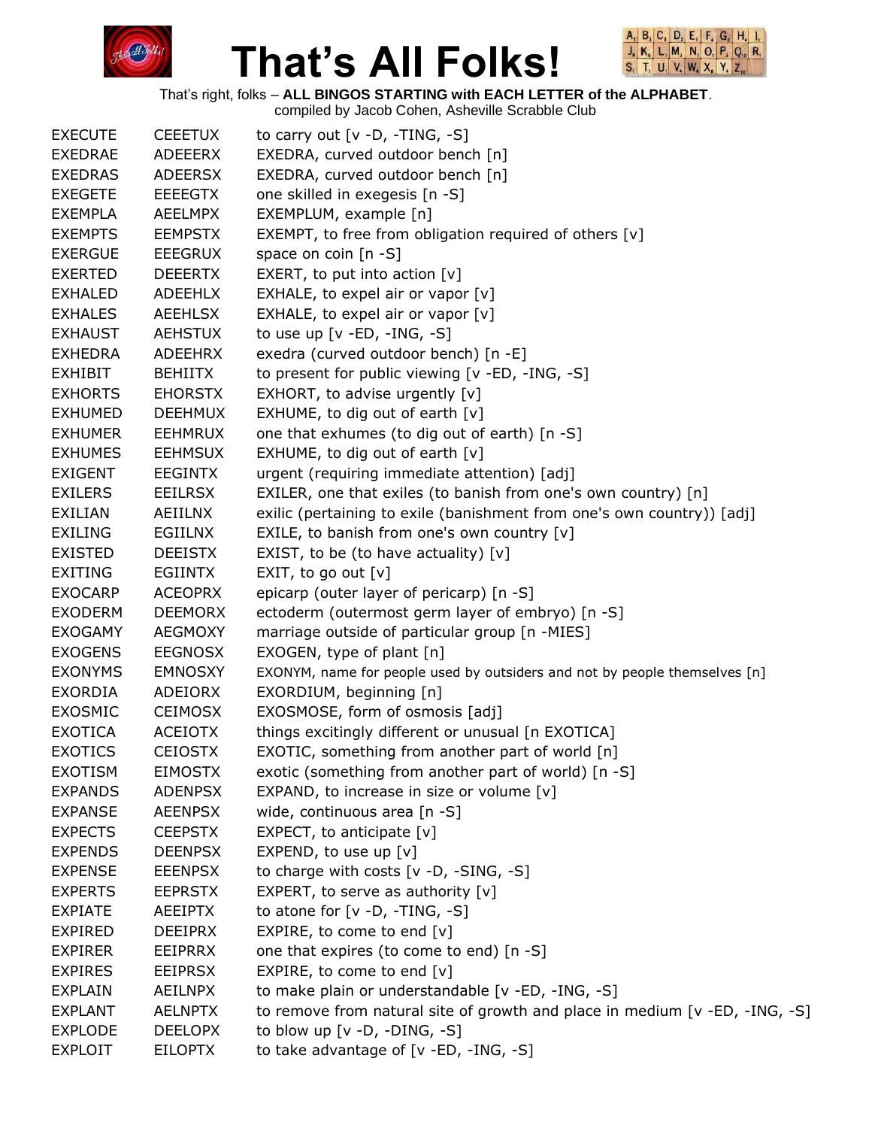



That's right, folks – **ALL BINGOS STARTING with EACH LETTER of the ALPHABET**.

| <b>EXECUTE</b> | <b>CEEETUX</b> | to carry out $[v -D, -TING, -S]$                                            |
|----------------|----------------|-----------------------------------------------------------------------------|
| <b>EXEDRAE</b> | <b>ADEEERX</b> | EXEDRA, curved outdoor bench [n]                                            |
| <b>EXEDRAS</b> | <b>ADEERSX</b> | EXEDRA, curved outdoor bench [n]                                            |
| <b>EXEGETE</b> | <b>EEEEGTX</b> | one skilled in exegesis [n -S]                                              |
| <b>EXEMPLA</b> | <b>AEELMPX</b> | EXEMPLUM, example [n]                                                       |
| <b>EXEMPTS</b> | <b>EEMPSTX</b> | EXEMPT, to free from obligation required of others [v]                      |
| <b>EXERGUE</b> | <b>EEEGRUX</b> | space on coin $[n - S]$                                                     |
| <b>EXERTED</b> | <b>DEEERTX</b> | EXERT, to put into action $[v]$                                             |
| <b>EXHALED</b> | <b>ADEEHLX</b> | EXHALE, to expel air or vapor $[v]$                                         |
| <b>EXHALES</b> | <b>AEEHLSX</b> | EXHALE, to expel air or vapor [v]                                           |
| <b>EXHAUST</b> | <b>AEHSTUX</b> | to use up [v -ED, -ING, -S]                                                 |
| <b>EXHEDRA</b> | ADEEHRX        | exedra (curved outdoor bench) [n -E]                                        |
| <b>EXHIBIT</b> | <b>BEHIITX</b> | to present for public viewing [v -ED, -ING, -S]                             |
| <b>EXHORTS</b> | <b>EHORSTX</b> | EXHORT, to advise urgently [v]                                              |
| <b>EXHUMED</b> | <b>DEEHMUX</b> | EXHUME, to dig out of earth [v]                                             |
| <b>EXHUMER</b> | <b>EEHMRUX</b> | one that exhumes (to dig out of earth) [n -S]                               |
| <b>EXHUMES</b> | <b>EEHMSUX</b> | EXHUME, to dig out of earth $[v]$                                           |
| <b>EXIGENT</b> | <b>EEGINTX</b> | urgent (requiring immediate attention) [adj]                                |
| <b>EXILERS</b> | EEILRSX        | EXILER, one that exiles (to banish from one's own country) [n]              |
| EXILIAN        | AEIILNX        | exilic (pertaining to exile (banishment from one's own country)) [adj]      |
| <b>EXILING</b> | EGIILNX        | EXILE, to banish from one's own country [v]                                 |
| <b>EXISTED</b> | <b>DEEISTX</b> | EXIST, to be (to have actuality) [v]                                        |
| <b>EXITING</b> | <b>EGIINTX</b> | EXIT, to go out $[v]$                                                       |
| <b>EXOCARP</b> | <b>ACEOPRX</b> | epicarp (outer layer of pericarp) [n -S]                                    |
| <b>EXODERM</b> | <b>DEEMORX</b> | ectoderm (outermost germ layer of embryo) [n -S]                            |
| <b>EXOGAMY</b> | <b>AEGMOXY</b> | marriage outside of particular group [n -MIES]                              |
| <b>EXOGENS</b> | <b>EEGNOSX</b> | EXOGEN, type of plant [n]                                                   |
| <b>EXONYMS</b> | <b>EMNOSXY</b> | EXONYM, name for people used by outsiders and not by people themselves [n]  |
| <b>EXORDIA</b> | ADEIORX        | EXORDIUM, beginning [n]                                                     |
| <b>EXOSMIC</b> | <b>CEIMOSX</b> | EXOSMOSE, form of osmosis [adj]                                             |
| <b>EXOTICA</b> | <b>ACEIOTX</b> | things excitingly different or unusual [n EXOTICA]                          |
| <b>EXOTICS</b> | <b>CEIOSTX</b> | EXOTIC, something from another part of world [n]                            |
| <b>EXOTISM</b> | <b>EIMOSTX</b> | exotic (something from another part of world) [n -S]                        |
| <b>EXPANDS</b> | <b>ADENPSX</b> | EXPAND, to increase in size or volume [v]                                   |
| <b>EXPANSE</b> | <b>AEENPSX</b> | wide, continuous area [n -S]                                                |
| <b>EXPECTS</b> | <b>CEEPSTX</b> | EXPECT, to anticipate $[v]$                                                 |
| <b>EXPENDS</b> | <b>DEENPSX</b> | EXPEND, to use up $[v]$                                                     |
| <b>EXPENSE</b> | <b>EEENPSX</b> | to charge with costs [v -D, -SING, -S]                                      |
| <b>EXPERTS</b> | <b>EEPRSTX</b> | EXPERT, to serve as authority $[v]$                                         |
| <b>EXPIATE</b> | <b>AEEIPTX</b> | to atone for $[v -D, -TING, -S]$                                            |
| <b>EXPIRED</b> | <b>DEEIPRX</b> | EXPIRE, to come to end [v]                                                  |
| <b>EXPIRER</b> | <b>EEIPRRX</b> | one that expires (to come to end) [n -S]                                    |
| <b>EXPIRES</b> | <b>EEIPRSX</b> | EXPIRE, to come to end [v]                                                  |
| <b>EXPLAIN</b> | AEILNPX        | to make plain or understandable [v -ED, -ING, -S]                           |
| <b>EXPLANT</b> | <b>AELNPTX</b> | to remove from natural site of growth and place in medium [v -ED, -ING, -S] |
| <b>EXPLODE</b> | <b>DEELOPX</b> | to blow up $[v -D, -DING, -S]$                                              |
| <b>EXPLOIT</b> | <b>EILOPTX</b> | to take advantage of [v -ED, -ING, -S]                                      |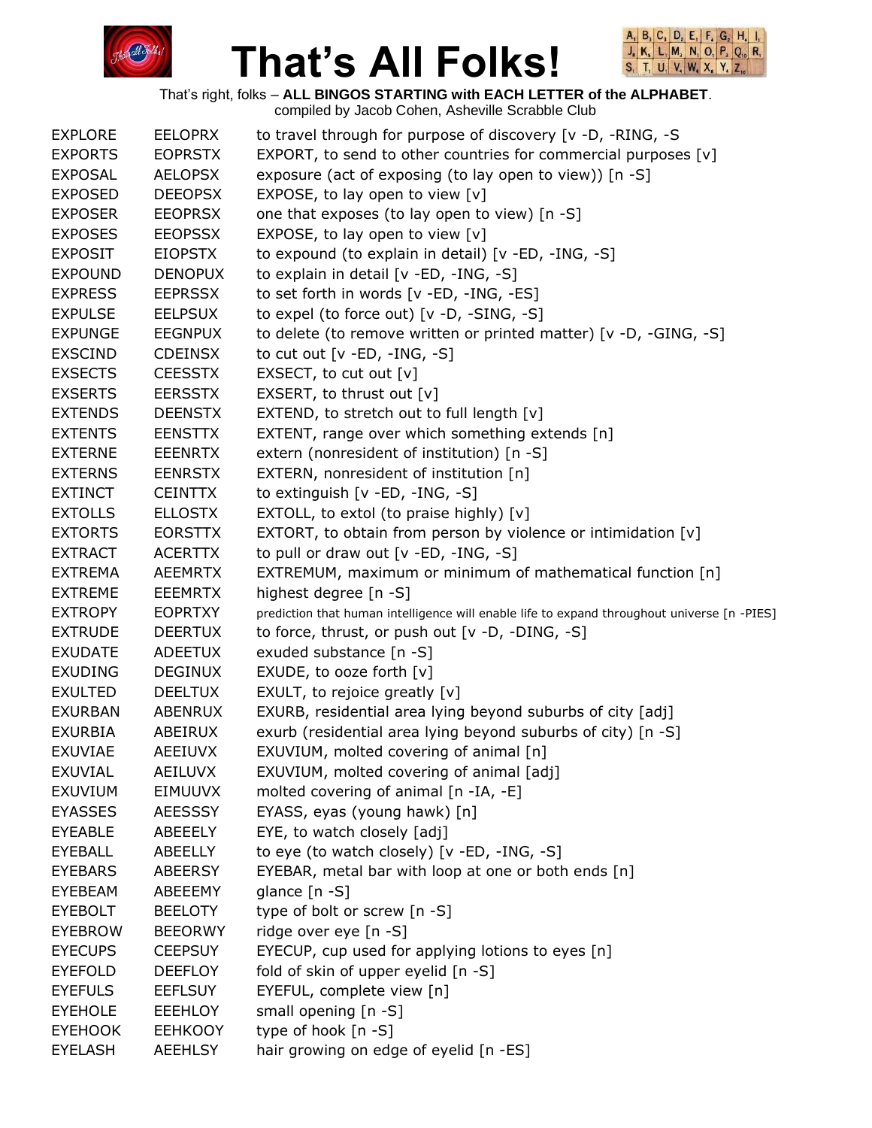



That's right, folks – **ALL BINGOS STARTING with EACH LETTER of the ALPHABET**.

| <b>EXPLORE</b> | <b>EELOPRX</b> | to travel through for purpose of discovery [v -D, -RING, -S                                 |
|----------------|----------------|---------------------------------------------------------------------------------------------|
| <b>EXPORTS</b> | <b>EOPRSTX</b> | EXPORT, to send to other countries for commercial purposes [v]                              |
| <b>EXPOSAL</b> | <b>AELOPSX</b> | exposure (act of exposing (to lay open to view)) [n -S]                                     |
| <b>EXPOSED</b> | <b>DEEOPSX</b> | EXPOSE, to lay open to view [v]                                                             |
| <b>EXPOSER</b> | <b>EEOPRSX</b> | one that exposes (to lay open to view) [n -S]                                               |
| <b>EXPOSES</b> | <b>EEOPSSX</b> | EXPOSE, to lay open to view [v]                                                             |
| <b>EXPOSIT</b> | <b>EIOPSTX</b> | to expound (to explain in detail) [v -ED, -ING, -S]                                         |
| <b>EXPOUND</b> | <b>DENOPUX</b> | to explain in detail [v -ED, -ING, -S]                                                      |
| <b>EXPRESS</b> | <b>EEPRSSX</b> | to set forth in words [v -ED, -ING, -ES]                                                    |
| <b>EXPULSE</b> | <b>EELPSUX</b> | to expel (to force out) [v -D, -SING, -S]                                                   |
| <b>EXPUNGE</b> | <b>EEGNPUX</b> | to delete (to remove written or printed matter) [v -D, -GING, -S]                           |
| <b>EXSCIND</b> | <b>CDEINSX</b> | to cut out $[v - ED, -ING, -S]$                                                             |
| <b>EXSECTS</b> | <b>CEESSTX</b> | EXSECT, to cut out $[v]$                                                                    |
| <b>EXSERTS</b> | <b>EERSSTX</b> | EXSERT, to thrust out [v]                                                                   |
| <b>EXTENDS</b> | <b>DEENSTX</b> | EXTEND, to stretch out to full length [v]                                                   |
| <b>EXTENTS</b> | <b>EENSTTX</b> | EXTENT, range over which something extends [n]                                              |
| <b>EXTERNE</b> | <b>EEENRTX</b> | extern (nonresident of institution) [n -S]                                                  |
| <b>EXTERNS</b> | <b>EENRSTX</b> | EXTERN, nonresident of institution [n]                                                      |
| <b>EXTINCT</b> | <b>CEINTTX</b> | to extinguish $[v - ED, -ING, -S]$                                                          |
| <b>EXTOLLS</b> | <b>ELLOSTX</b> | EXTOLL, to extol (to praise highly) [v]                                                     |
| <b>EXTORTS</b> | <b>EORSTTX</b> | EXTORT, to obtain from person by violence or intimidation [v]                               |
| <b>EXTRACT</b> | <b>ACERTTX</b> | to pull or draw out $[v - ED, -ING, -S]$                                                    |
| <b>EXTREMA</b> | <b>AEEMRTX</b> | EXTREMUM, maximum or minimum of mathematical function [n]                                   |
| <b>EXTREME</b> | <b>EEEMRTX</b> | highest degree [n -S]                                                                       |
| <b>EXTROPY</b> | <b>EOPRTXY</b> | prediction that human intelligence will enable life to expand throughout universe [n -PIES] |
| <b>EXTRUDE</b> | <b>DEERTUX</b> | to force, thrust, or push out [v -D, -DING, -S]                                             |
| <b>EXUDATE</b> | <b>ADEETUX</b> | exuded substance [n -S]                                                                     |
| <b>EXUDING</b> | <b>DEGINUX</b> | EXUDE, to ooze forth [v]                                                                    |
| <b>EXULTED</b> | <b>DEELTUX</b> | EXULT, to rejoice greatly [v]                                                               |
| <b>EXURBAN</b> | ABENRUX        | EXURB, residential area lying beyond suburbs of city [adj]                                  |
| <b>EXURBIA</b> | ABEIRUX        | exurb (residential area lying beyond suburbs of city) [n -S]                                |
| EXUVIAE        | AEEIUVX        | EXUVIUM, molted covering of animal [n]                                                      |
| EXUVIAL        | AEILUVX        | EXUVIUM, molted covering of animal [adj]                                                    |
| <b>EXUVIUM</b> | EIMUUVX        | molted covering of animal [n -IA, -E]                                                       |
| <b>EYASSES</b> | <b>AEESSSY</b> | EYASS, eyas (young hawk) [n]                                                                |
| <b>EYEABLE</b> | ABEEELY        | EYE, to watch closely [adj]                                                                 |
| <b>EYEBALL</b> | ABEELLY        | to eye (to watch closely) [v -ED, -ING, -S]                                                 |
| <b>EYEBARS</b> | ABEERSY        | EYEBAR, metal bar with loop at one or both ends [n]                                         |
| EYEBEAM        | ABEEEMY        | glance [n -S]                                                                               |
| <b>EYEBOLT</b> | <b>BEELOTY</b> | type of bolt or screw [n -S]                                                                |
| <b>EYEBROW</b> | <b>BEEORWY</b> | ridge over eye [n -S]                                                                       |
| <b>EYECUPS</b> | <b>CEEPSUY</b> | EYECUP, cup used for applying lotions to eyes [n]                                           |
| <b>EYEFOLD</b> | <b>DEEFLOY</b> | fold of skin of upper eyelid [n -S]                                                         |
| <b>EYEFULS</b> | <b>EEFLSUY</b> | EYEFUL, complete view [n]                                                                   |
| <b>EYEHOLE</b> | <b>EEEHLOY</b> | small opening [n -S]                                                                        |
| <b>EYEHOOK</b> | <b>EEHKOOY</b> | type of hook [n -S]                                                                         |
| <b>EYELASH</b> | <b>AEEHLSY</b> | hair growing on edge of eyelid [n -ES]                                                      |